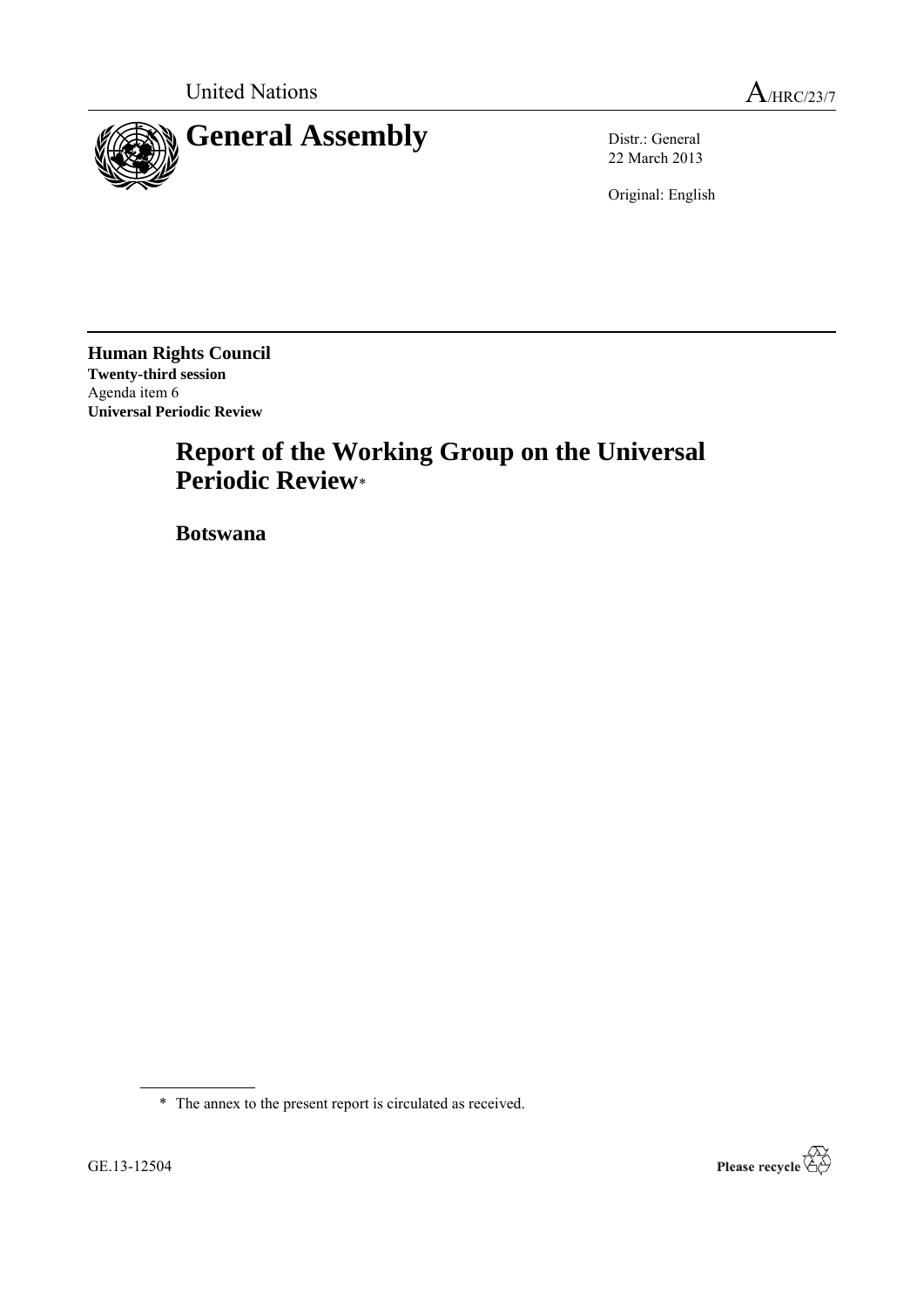

22 March 2013

Original: English

**Human Rights Council Twenty-third session** Agenda item 6 **Universal Periodic Review**

# **Report of the Working Group on the Universal Periodic Review**\*

**Botswana**

\* The annex to the present report is circulated as received.

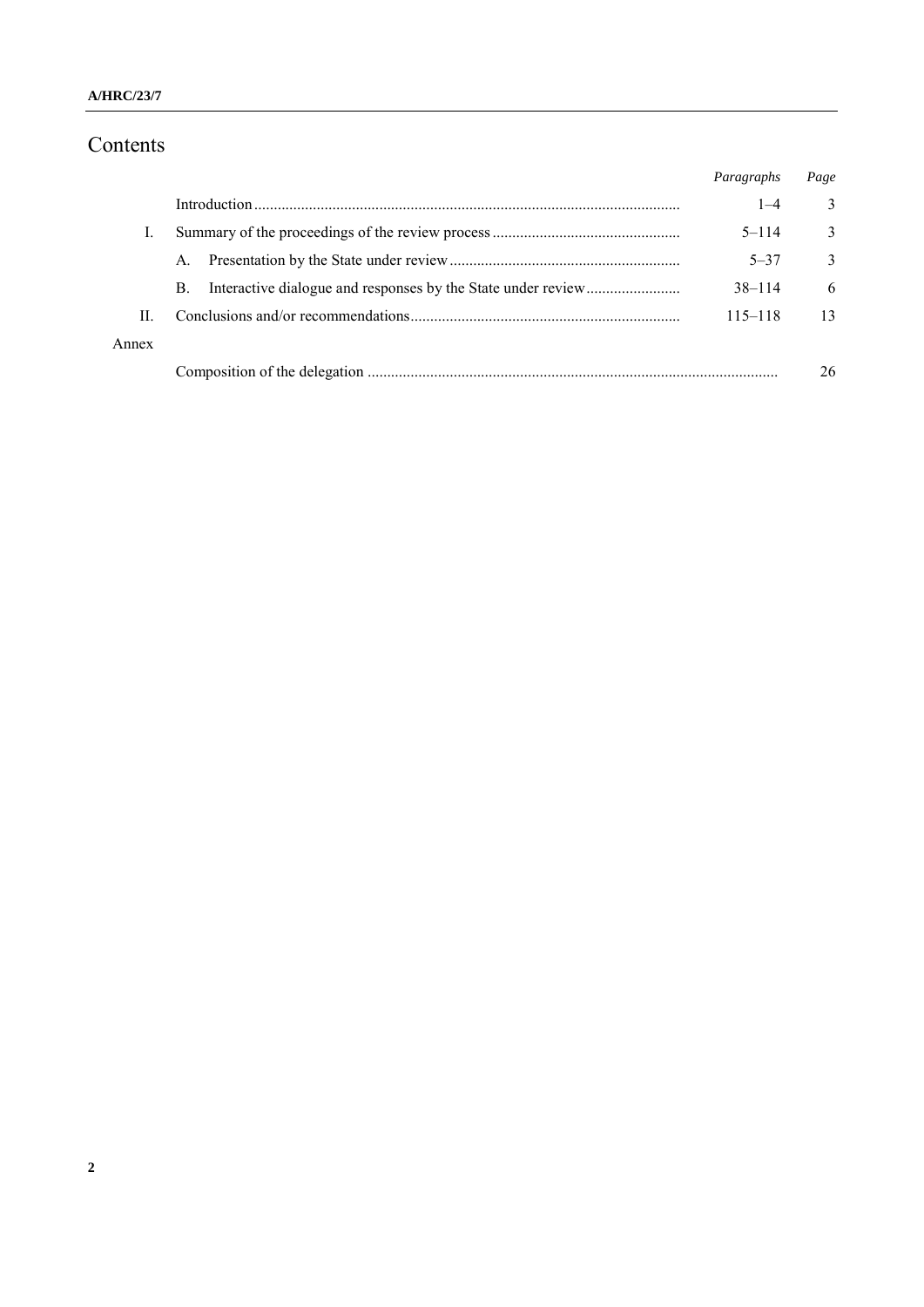# Contents

|       |    | Paragraphs  | Page         |
|-------|----|-------------|--------------|
|       |    | $1 - 4$     | 3            |
|       |    | $5 - 114$   | 3            |
|       | A. | $5 - 37$    | $\mathbf{3}$ |
|       | B. | $38 - 114$  | 6            |
| П     |    | $115 - 118$ | 13           |
| Annex |    |             |              |
|       |    |             | 26           |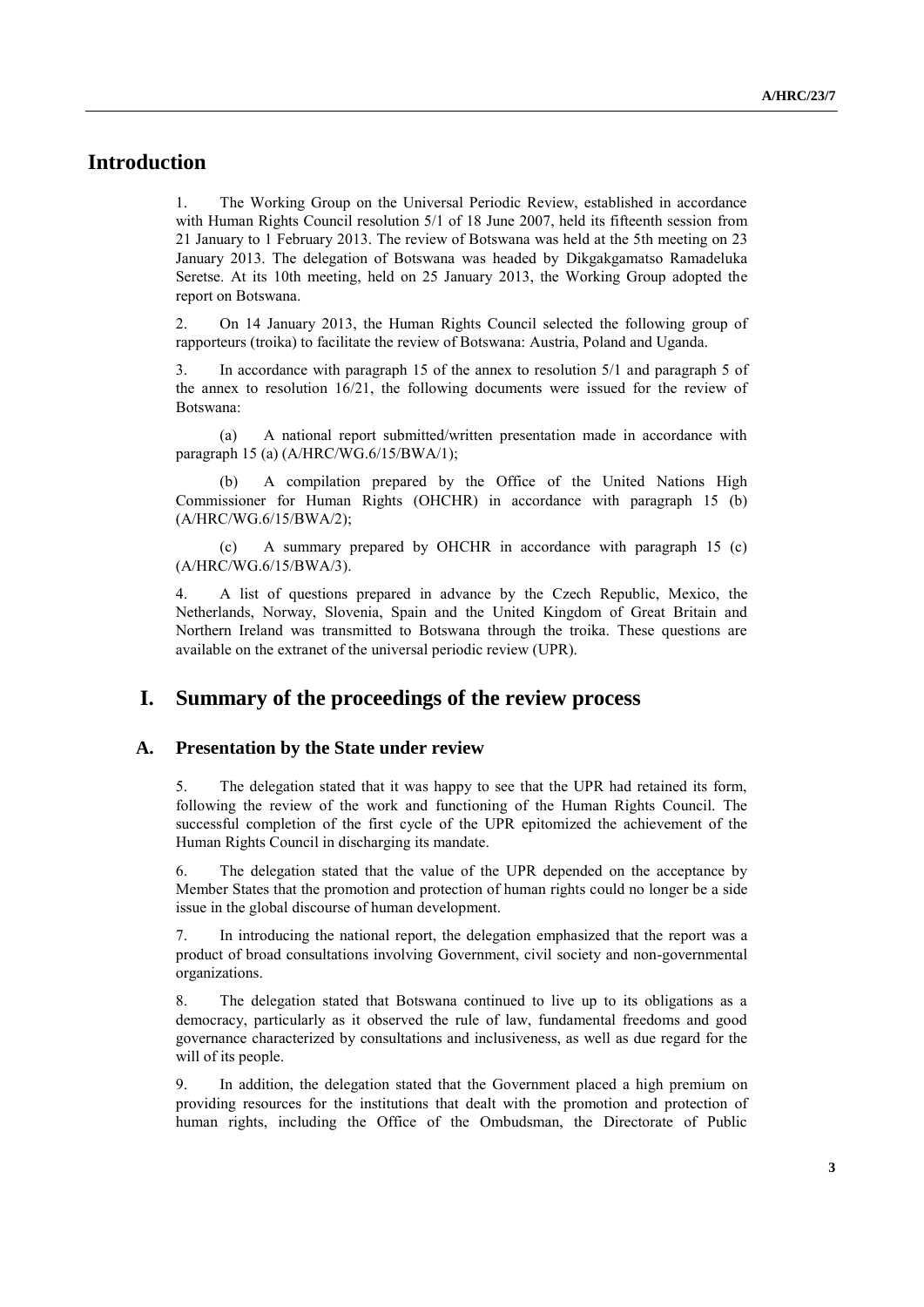# **Introduction**

1. The Working Group on the Universal Periodic Review, established in accordance with Human Rights Council resolution 5/1 of 18 June 2007, held its fifteenth session from 21 January to 1 February 2013. The review of Botswana was held at the 5th meeting on 23 January 2013. The delegation of Botswana was headed by Dikgakgamatso Ramadeluka Seretse. At its 10th meeting, held on 25 January 2013, the Working Group adopted the report on Botswana.

2. On 14 January 2013, the Human Rights Council selected the following group of rapporteurs (troika) to facilitate the review of Botswana: Austria, Poland and Uganda.

3. In accordance with paragraph 15 of the annex to resolution 5/1 and paragraph 5 of the annex to resolution 16/21, the following documents were issued for the review of Botswana:

(a) A national report submitted/written presentation made in accordance with paragraph 15 (a) (A/HRC/WG.6/15/BWA/1);

A compilation prepared by the Office of the United Nations High Commissioner for Human Rights (OHCHR) in accordance with paragraph 15 (b) (A/HRC/WG.6/15/BWA/2);

(c) A summary prepared by OHCHR in accordance with paragraph 15 (c) (A/HRC/WG.6/15/BWA/3).

4. A list of questions prepared in advance by the Czech Republic, Mexico, the Netherlands, Norway, Slovenia, Spain and the United Kingdom of Great Britain and Northern Ireland was transmitted to Botswana through the troika. These questions are available on the extranet of the universal periodic review (UPR).

### **I. Summary of the proceedings of the review process**

#### **A. Presentation by the State under review**

5. The delegation stated that it was happy to see that the UPR had retained its form, following the review of the work and functioning of the Human Rights Council. The successful completion of the first cycle of the UPR epitomized the achievement of the Human Rights Council in discharging its mandate.

6. The delegation stated that the value of the UPR depended on the acceptance by Member States that the promotion and protection of human rights could no longer be a side issue in the global discourse of human development.

7. In introducing the national report, the delegation emphasized that the report was a product of broad consultations involving Government, civil society and non-governmental organizations.

8. The delegation stated that Botswana continued to live up to its obligations as a democracy, particularly as it observed the rule of law, fundamental freedoms and good governance characterized by consultations and inclusiveness, as well as due regard for the will of its people.

9. In addition, the delegation stated that the Government placed a high premium on providing resources for the institutions that dealt with the promotion and protection of human rights, including the Office of the Ombudsman, the Directorate of Public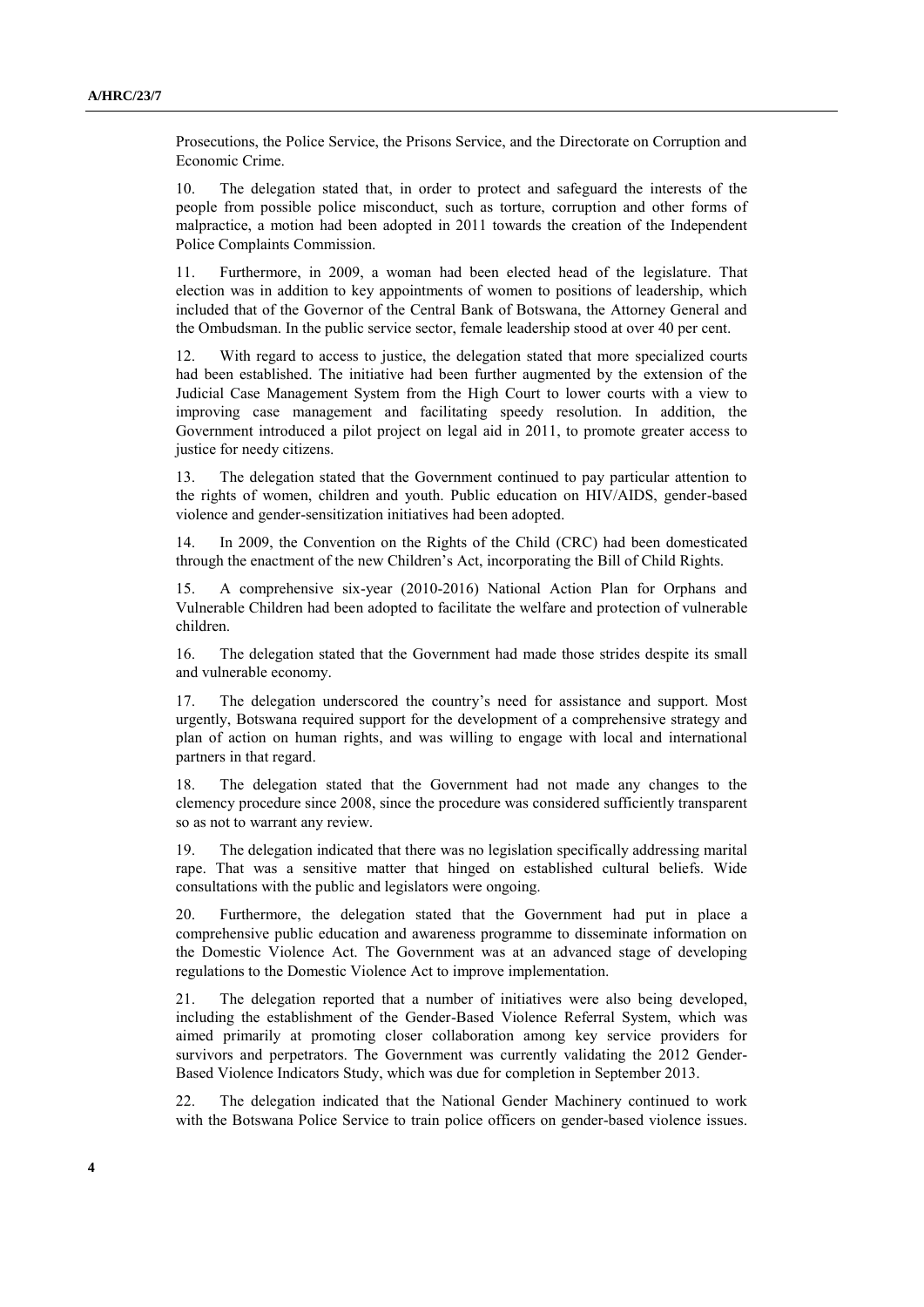Prosecutions, the Police Service, the Prisons Service, and the Directorate on Corruption and Economic Crime.

10. The delegation stated that, in order to protect and safeguard the interests of the people from possible police misconduct, such as torture, corruption and other forms of malpractice, a motion had been adopted in 2011 towards the creation of the Independent Police Complaints Commission.

11. Furthermore, in 2009, a woman had been elected head of the legislature. That election was in addition to key appointments of women to positions of leadership, which included that of the Governor of the Central Bank of Botswana, the Attorney General and the Ombudsman. In the public service sector, female leadership stood at over 40 per cent.

12. With regard to access to justice, the delegation stated that more specialized courts had been established. The initiative had been further augmented by the extension of the Judicial Case Management System from the High Court to lower courts with a view to improving case management and facilitating speedy resolution. In addition, the Government introduced a pilot project on legal aid in 2011, to promote greater access to justice for needy citizens.

13. The delegation stated that the Government continued to pay particular attention to the rights of women, children and youth. Public education on HIV/AIDS, gender-based violence and gender-sensitization initiatives had been adopted.

14. In 2009, the Convention on the Rights of the Child (CRC) had been domesticated through the enactment of the new Children's Act, incorporating the Bill of Child Rights.

15. A comprehensive six-year (2010-2016) National Action Plan for Orphans and Vulnerable Children had been adopted to facilitate the welfare and protection of vulnerable children.

16. The delegation stated that the Government had made those strides despite its small and vulnerable economy.

17. The delegation underscored the country's need for assistance and support. Most urgently, Botswana required support for the development of a comprehensive strategy and plan of action on human rights, and was willing to engage with local and international partners in that regard.

18. The delegation stated that the Government had not made any changes to the clemency procedure since 2008, since the procedure was considered sufficiently transparent so as not to warrant any review.

19. The delegation indicated that there was no legislation specifically addressing marital rape. That was a sensitive matter that hinged on established cultural beliefs. Wide consultations with the public and legislators were ongoing.

20. Furthermore, the delegation stated that the Government had put in place a comprehensive public education and awareness programme to disseminate information on the Domestic Violence Act. The Government was at an advanced stage of developing regulations to the Domestic Violence Act to improve implementation.

21. The delegation reported that a number of initiatives were also being developed, including the establishment of the Gender-Based Violence Referral System, which was aimed primarily at promoting closer collaboration among key service providers for survivors and perpetrators. The Government was currently validating the 2012 Gender-Based Violence Indicators Study, which was due for completion in September 2013.

22. The delegation indicated that the National Gender Machinery continued to work with the Botswana Police Service to train police officers on gender-based violence issues.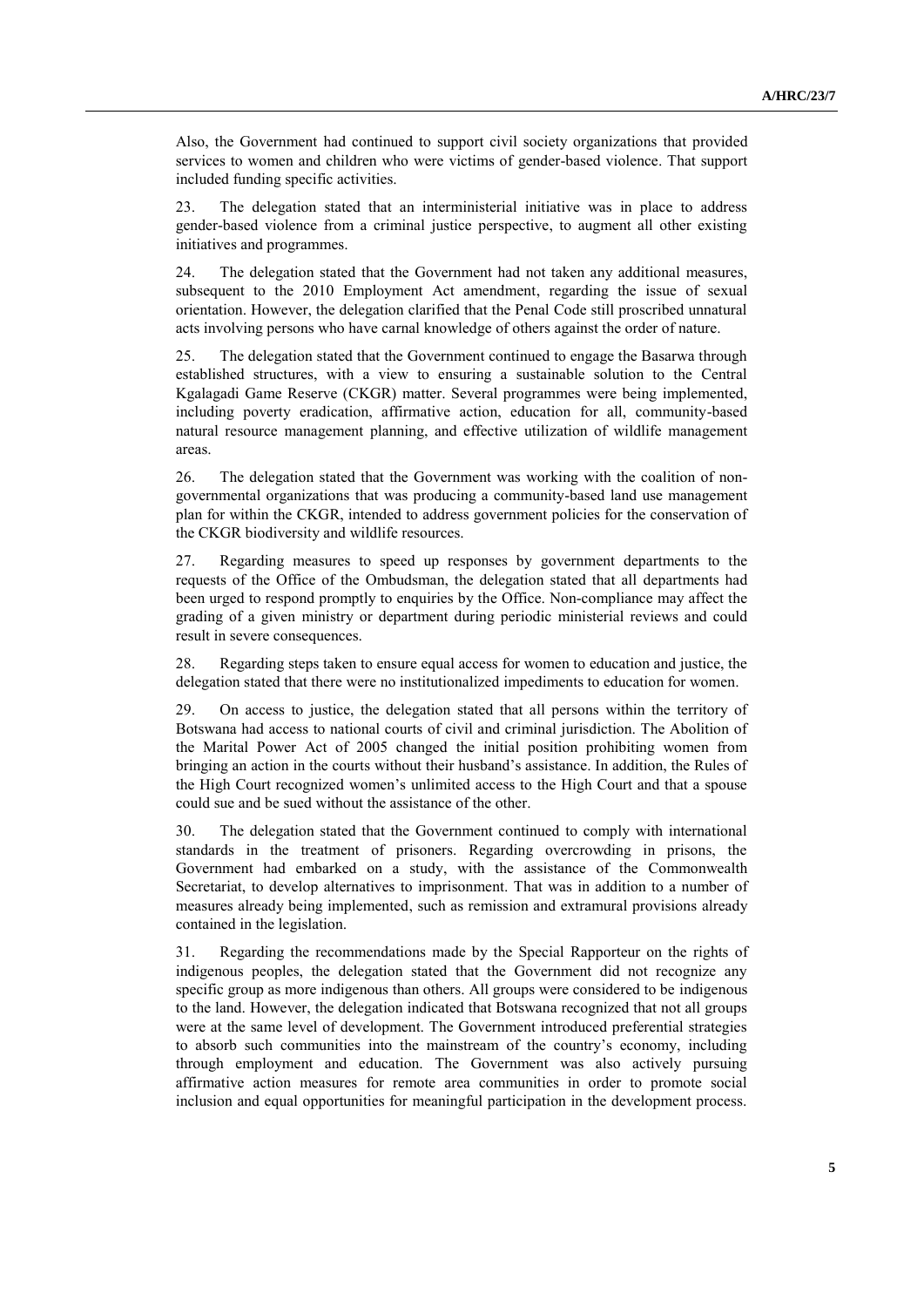Also, the Government had continued to support civil society organizations that provided services to women and children who were victims of gender-based violence. That support included funding specific activities.

23. The delegation stated that an interministerial initiative was in place to address gender-based violence from a criminal justice perspective, to augment all other existing initiatives and programmes.

24. The delegation stated that the Government had not taken any additional measures, subsequent to the 2010 Employment Act amendment, regarding the issue of sexual orientation. However, the delegation clarified that the Penal Code still proscribed unnatural acts involving persons who have carnal knowledge of others against the order of nature.

25. The delegation stated that the Government continued to engage the Basarwa through established structures, with a view to ensuring a sustainable solution to the Central Kgalagadi Game Reserve (CKGR) matter. Several programmes were being implemented, including poverty eradication, affirmative action, education for all, community-based natural resource management planning, and effective utilization of wildlife management areas.

26. The delegation stated that the Government was working with the coalition of nongovernmental organizations that was producing a community-based land use management plan for within the CKGR, intended to address government policies for the conservation of the CKGR biodiversity and wildlife resources.

27. Regarding measures to speed up responses by government departments to the requests of the Office of the Ombudsman, the delegation stated that all departments had been urged to respond promptly to enquiries by the Office. Non-compliance may affect the grading of a given ministry or department during periodic ministerial reviews and could result in severe consequences.

28. Regarding steps taken to ensure equal access for women to education and justice, the delegation stated that there were no institutionalized impediments to education for women.

29. On access to justice, the delegation stated that all persons within the territory of Botswana had access to national courts of civil and criminal jurisdiction. The Abolition of the Marital Power Act of 2005 changed the initial position prohibiting women from bringing an action in the courts without their husband's assistance. In addition, the Rules of the High Court recognized women's unlimited access to the High Court and that a spouse could sue and be sued without the assistance of the other.

30. The delegation stated that the Government continued to comply with international standards in the treatment of prisoners. Regarding overcrowding in prisons, the Government had embarked on a study, with the assistance of the Commonwealth Secretariat, to develop alternatives to imprisonment. That was in addition to a number of measures already being implemented, such as remission and extramural provisions already contained in the legislation.

31. Regarding the recommendations made by the Special Rapporteur on the rights of indigenous peoples, the delegation stated that the Government did not recognize any specific group as more indigenous than others. All groups were considered to be indigenous to the land. However, the delegation indicated that Botswana recognized that not all groups were at the same level of development. The Government introduced preferential strategies to absorb such communities into the mainstream of the country's economy, including through employment and education. The Government was also actively pursuing affirmative action measures for remote area communities in order to promote social inclusion and equal opportunities for meaningful participation in the development process.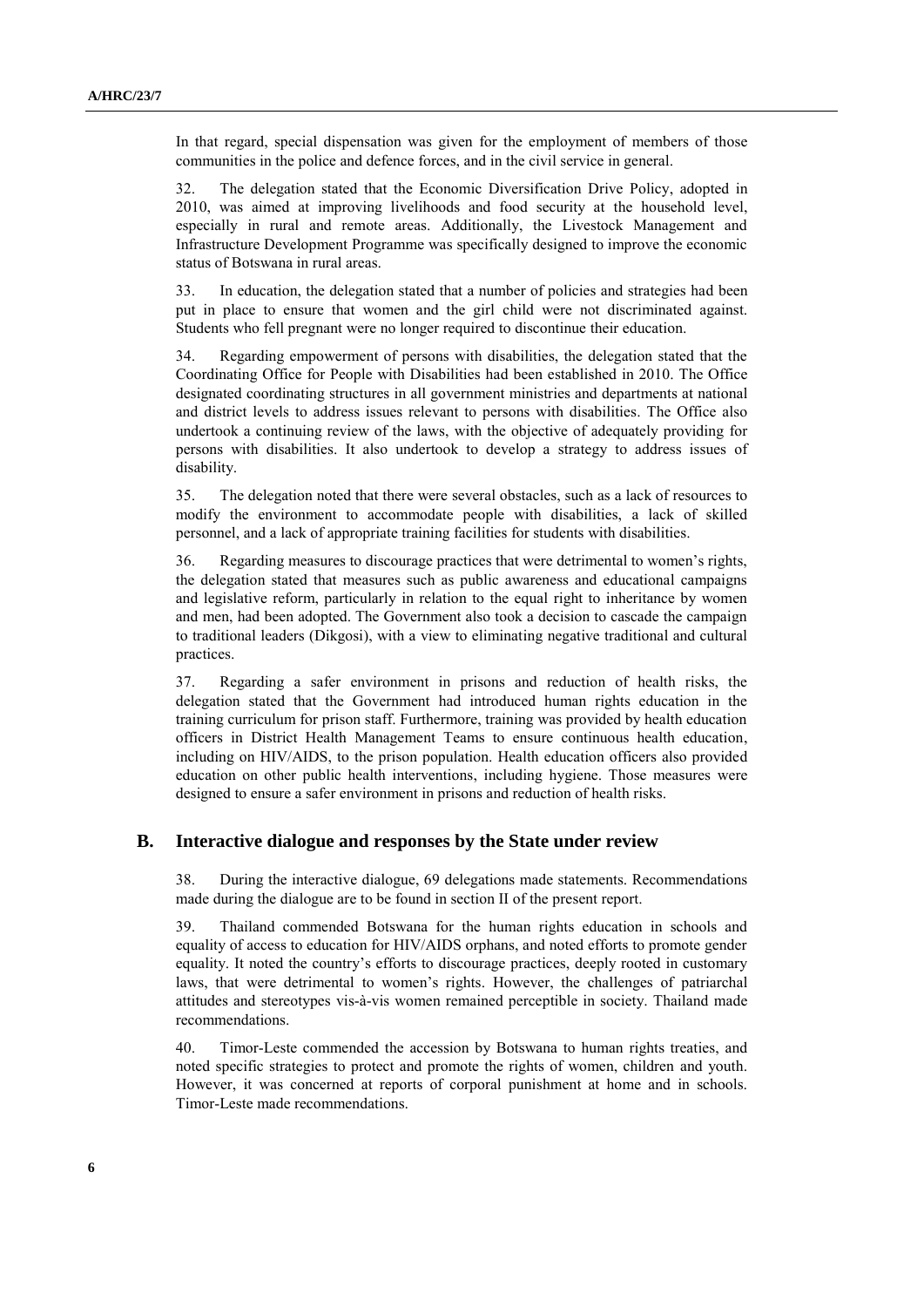In that regard, special dispensation was given for the employment of members of those communities in the police and defence forces, and in the civil service in general.

32. The delegation stated that the Economic Diversification Drive Policy, adopted in 2010, was aimed at improving livelihoods and food security at the household level, especially in rural and remote areas. Additionally, the Livestock Management and Infrastructure Development Programme was specifically designed to improve the economic status of Botswana in rural areas.

33. In education, the delegation stated that a number of policies and strategies had been put in place to ensure that women and the girl child were not discriminated against. Students who fell pregnant were no longer required to discontinue their education.

34. Regarding empowerment of persons with disabilities, the delegation stated that the Coordinating Office for People with Disabilities had been established in 2010. The Office designated coordinating structures in all government ministries and departments at national and district levels to address issues relevant to persons with disabilities. The Office also undertook a continuing review of the laws, with the objective of adequately providing for persons with disabilities. It also undertook to develop a strategy to address issues of disability.

35. The delegation noted that there were several obstacles, such as a lack of resources to modify the environment to accommodate people with disabilities, a lack of skilled personnel, and a lack of appropriate training facilities for students with disabilities.

36. Regarding measures to discourage practices that were detrimental to women's rights, the delegation stated that measures such as public awareness and educational campaigns and legislative reform, particularly in relation to the equal right to inheritance by women and men, had been adopted. The Government also took a decision to cascade the campaign to traditional leaders (Dikgosi), with a view to eliminating negative traditional and cultural practices.

37. Regarding a safer environment in prisons and reduction of health risks, the delegation stated that the Government had introduced human rights education in the training curriculum for prison staff. Furthermore, training was provided by health education officers in District Health Management Teams to ensure continuous health education, including on HIV/AIDS, to the prison population. Health education officers also provided education on other public health interventions, including hygiene. Those measures were designed to ensure a safer environment in prisons and reduction of health risks.

#### **B. Interactive dialogue and responses by the State under review**

38. During the interactive dialogue, 69 delegations made statements. Recommendations made during the dialogue are to be found in section II of the present report.

39. Thailand commended Botswana for the human rights education in schools and equality of access to education for HIV/AIDS orphans, and noted efforts to promote gender equality. It noted the country's efforts to discourage practices, deeply rooted in customary laws, that were detrimental to women's rights. However, the challenges of patriarchal attitudes and stereotypes vis-à-vis women remained perceptible in society. Thailand made recommendations.

40. Timor-Leste commended the accession by Botswana to human rights treaties, and noted specific strategies to protect and promote the rights of women, children and youth. However, it was concerned at reports of corporal punishment at home and in schools. Timor-Leste made recommendations.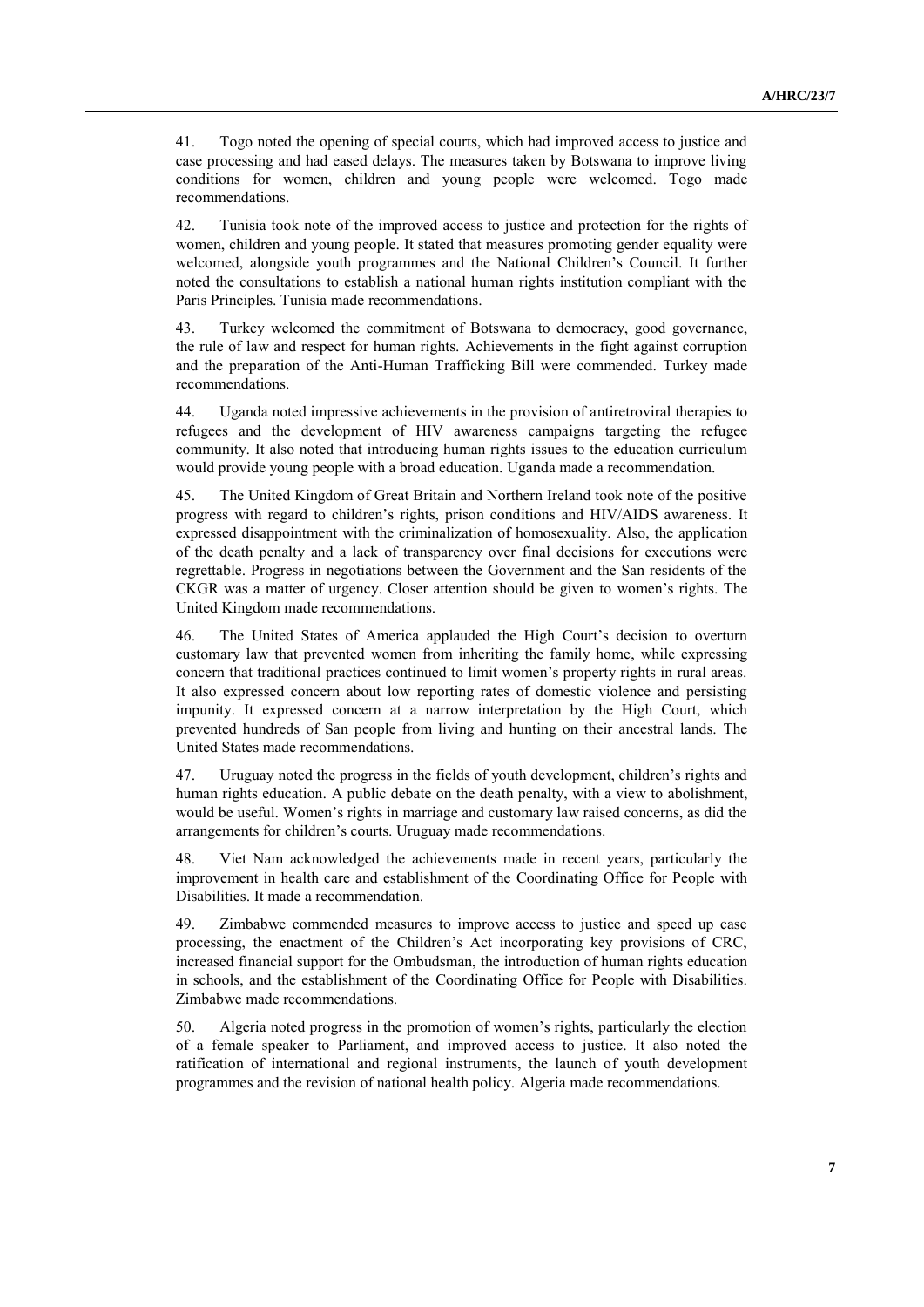41. Togo noted the opening of special courts, which had improved access to justice and case processing and had eased delays. The measures taken by Botswana to improve living conditions for women, children and young people were welcomed. Togo made recommendations.

42. Tunisia took note of the improved access to justice and protection for the rights of women, children and young people. It stated that measures promoting gender equality were welcomed, alongside youth programmes and the National Children's Council. It further noted the consultations to establish a national human rights institution compliant with the Paris Principles. Tunisia made recommendations.

43. Turkey welcomed the commitment of Botswana to democracy, good governance, the rule of law and respect for human rights. Achievements in the fight against corruption and the preparation of the Anti-Human Trafficking Bill were commended. Turkey made recommendations.

44. Uganda noted impressive achievements in the provision of antiretroviral therapies to refugees and the development of HIV awareness campaigns targeting the refugee community. It also noted that introducing human rights issues to the education curriculum would provide young people with a broad education. Uganda made a recommendation.

45. The United Kingdom of Great Britain and Northern Ireland took note of the positive progress with regard to children's rights, prison conditions and HIV/AIDS awareness. It expressed disappointment with the criminalization of homosexuality. Also, the application of the death penalty and a lack of transparency over final decisions for executions were regrettable. Progress in negotiations between the Government and the San residents of the CKGR was a matter of urgency. Closer attention should be given to women's rights. The United Kingdom made recommendations.

46. The United States of America applauded the High Court's decision to overturn customary law that prevented women from inheriting the family home, while expressing concern that traditional practices continued to limit women's property rights in rural areas. It also expressed concern about low reporting rates of domestic violence and persisting impunity. It expressed concern at a narrow interpretation by the High Court, which prevented hundreds of San people from living and hunting on their ancestral lands. The United States made recommendations.

47. Uruguay noted the progress in the fields of youth development, children's rights and human rights education. A public debate on the death penalty, with a view to abolishment, would be useful. Women's rights in marriage and customary law raised concerns, as did the arrangements for children's courts. Uruguay made recommendations.

48. Viet Nam acknowledged the achievements made in recent years, particularly the improvement in health care and establishment of the Coordinating Office for People with Disabilities. It made a recommendation.

49. Zimbabwe commended measures to improve access to justice and speed up case processing, the enactment of the Children's Act incorporating key provisions of CRC, increased financial support for the Ombudsman, the introduction of human rights education in schools, and the establishment of the Coordinating Office for People with Disabilities. Zimbabwe made recommendations.

50. Algeria noted progress in the promotion of women's rights, particularly the election of a female speaker to Parliament, and improved access to justice. It also noted the ratification of international and regional instruments, the launch of youth development programmes and the revision of national health policy. Algeria made recommendations.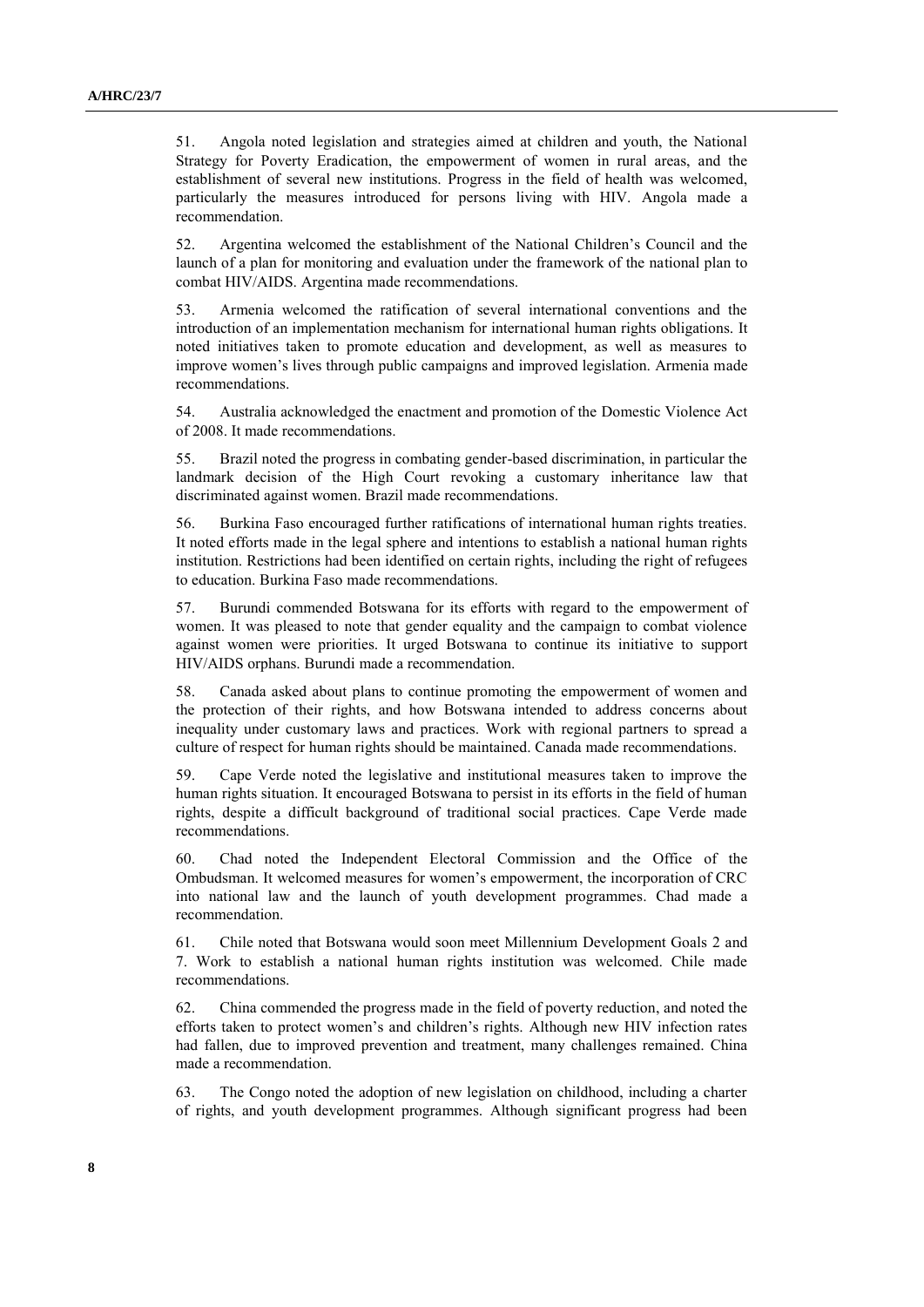51. Angola noted legislation and strategies aimed at children and youth, the National Strategy for Poverty Eradication, the empowerment of women in rural areas, and the establishment of several new institutions. Progress in the field of health was welcomed, particularly the measures introduced for persons living with HIV. Angola made a recommendation.

52. Argentina welcomed the establishment of the National Children's Council and the launch of a plan for monitoring and evaluation under the framework of the national plan to combat HIV/AIDS. Argentina made recommendations.

53. Armenia welcomed the ratification of several international conventions and the introduction of an implementation mechanism for international human rights obligations. It noted initiatives taken to promote education and development, as well as measures to improve women's lives through public campaigns and improved legislation. Armenia made recommendations.

54. Australia acknowledged the enactment and promotion of the Domestic Violence Act of 2008. It made recommendations.

55. Brazil noted the progress in combating gender-based discrimination, in particular the landmark decision of the High Court revoking a customary inheritance law that discriminated against women. Brazil made recommendations.

56. Burkina Faso encouraged further ratifications of international human rights treaties. It noted efforts made in the legal sphere and intentions to establish a national human rights institution. Restrictions had been identified on certain rights, including the right of refugees to education. Burkina Faso made recommendations.

57. Burundi commended Botswana for its efforts with regard to the empowerment of women. It was pleased to note that gender equality and the campaign to combat violence against women were priorities. It urged Botswana to continue its initiative to support HIV/AIDS orphans. Burundi made a recommendation.

58. Canada asked about plans to continue promoting the empowerment of women and the protection of their rights, and how Botswana intended to address concerns about inequality under customary laws and practices. Work with regional partners to spread a culture of respect for human rights should be maintained. Canada made recommendations.

59. Cape Verde noted the legislative and institutional measures taken to improve the human rights situation. It encouraged Botswana to persist in its efforts in the field of human rights, despite a difficult background of traditional social practices. Cape Verde made recommendations.

60. Chad noted the Independent Electoral Commission and the Office of the Ombudsman. It welcomed measures for women's empowerment, the incorporation of CRC into national law and the launch of youth development programmes. Chad made a recommendation.

61. Chile noted that Botswana would soon meet Millennium Development Goals 2 and 7. Work to establish a national human rights institution was welcomed. Chile made recommendations.

62. China commended the progress made in the field of poverty reduction, and noted the efforts taken to protect women's and children's rights. Although new HIV infection rates had fallen, due to improved prevention and treatment, many challenges remained. China made a recommendation.

63. The Congo noted the adoption of new legislation on childhood, including a charter of rights, and youth development programmes. Although significant progress had been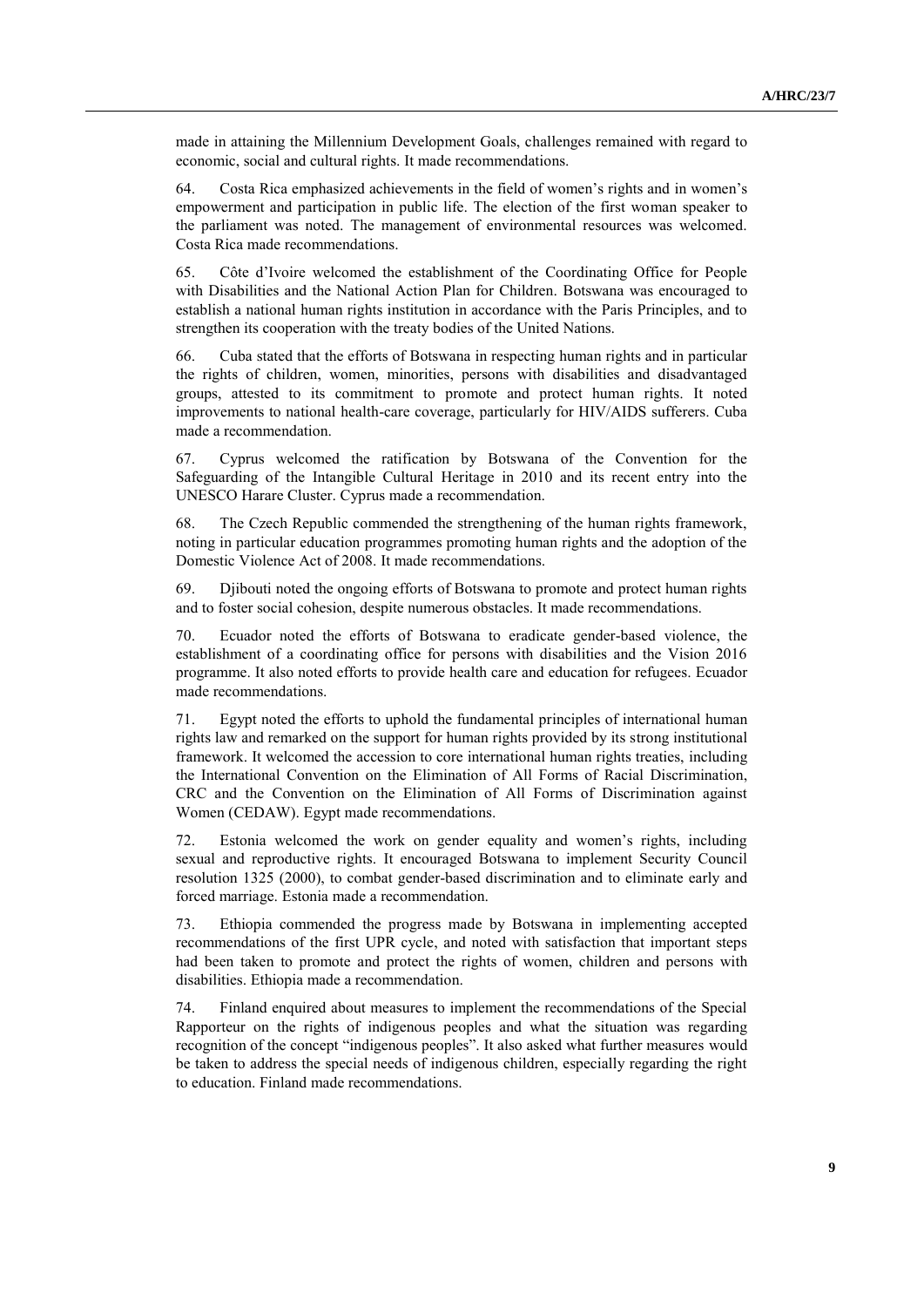made in attaining the Millennium Development Goals, challenges remained with regard to economic, social and cultural rights. It made recommendations.

64. Costa Rica emphasized achievements in the field of women's rights and in women's empowerment and participation in public life. The election of the first woman speaker to the parliament was noted. The management of environmental resources was welcomed. Costa Rica made recommendations.

65. Côte d'Ivoire welcomed the establishment of the Coordinating Office for People with Disabilities and the National Action Plan for Children. Botswana was encouraged to establish a national human rights institution in accordance with the Paris Principles, and to strengthen its cooperation with the treaty bodies of the United Nations.

66. Cuba stated that the efforts of Botswana in respecting human rights and in particular the rights of children, women, minorities, persons with disabilities and disadvantaged groups, attested to its commitment to promote and protect human rights. It noted improvements to national health-care coverage, particularly for HIV/AIDS sufferers. Cuba made a recommendation.

67. Cyprus welcomed the ratification by Botswana of the Convention for the Safeguarding of the Intangible Cultural Heritage in 2010 and its recent entry into the UNESCO Harare Cluster. Cyprus made a recommendation.

68. The Czech Republic commended the strengthening of the human rights framework, noting in particular education programmes promoting human rights and the adoption of the Domestic Violence Act of 2008. It made recommendations.

69. Djibouti noted the ongoing efforts of Botswana to promote and protect human rights and to foster social cohesion, despite numerous obstacles. It made recommendations.

70. Ecuador noted the efforts of Botswana to eradicate gender-based violence, the establishment of a coordinating office for persons with disabilities and the Vision 2016 programme. It also noted efforts to provide health care and education for refugees. Ecuador made recommendations.

71. Egypt noted the efforts to uphold the fundamental principles of international human rights law and remarked on the support for human rights provided by its strong institutional framework. It welcomed the accession to core international human rights treaties, including the International Convention on the Elimination of All Forms of Racial Discrimination, CRC and the Convention on the Elimination of All Forms of Discrimination against Women (CEDAW). Egypt made recommendations.

72. Estonia welcomed the work on gender equality and women's rights, including sexual and reproductive rights. It encouraged Botswana to implement Security Council resolution 1325 (2000), to combat gender-based discrimination and to eliminate early and forced marriage. Estonia made a recommendation.

73. Ethiopia commended the progress made by Botswana in implementing accepted recommendations of the first UPR cycle, and noted with satisfaction that important steps had been taken to promote and protect the rights of women, children and persons with disabilities. Ethiopia made a recommendation.

74. Finland enquired about measures to implement the recommendations of the Special Rapporteur on the rights of indigenous peoples and what the situation was regarding recognition of the concept "indigenous peoples". It also asked what further measures would be taken to address the special needs of indigenous children, especially regarding the right to education. Finland made recommendations.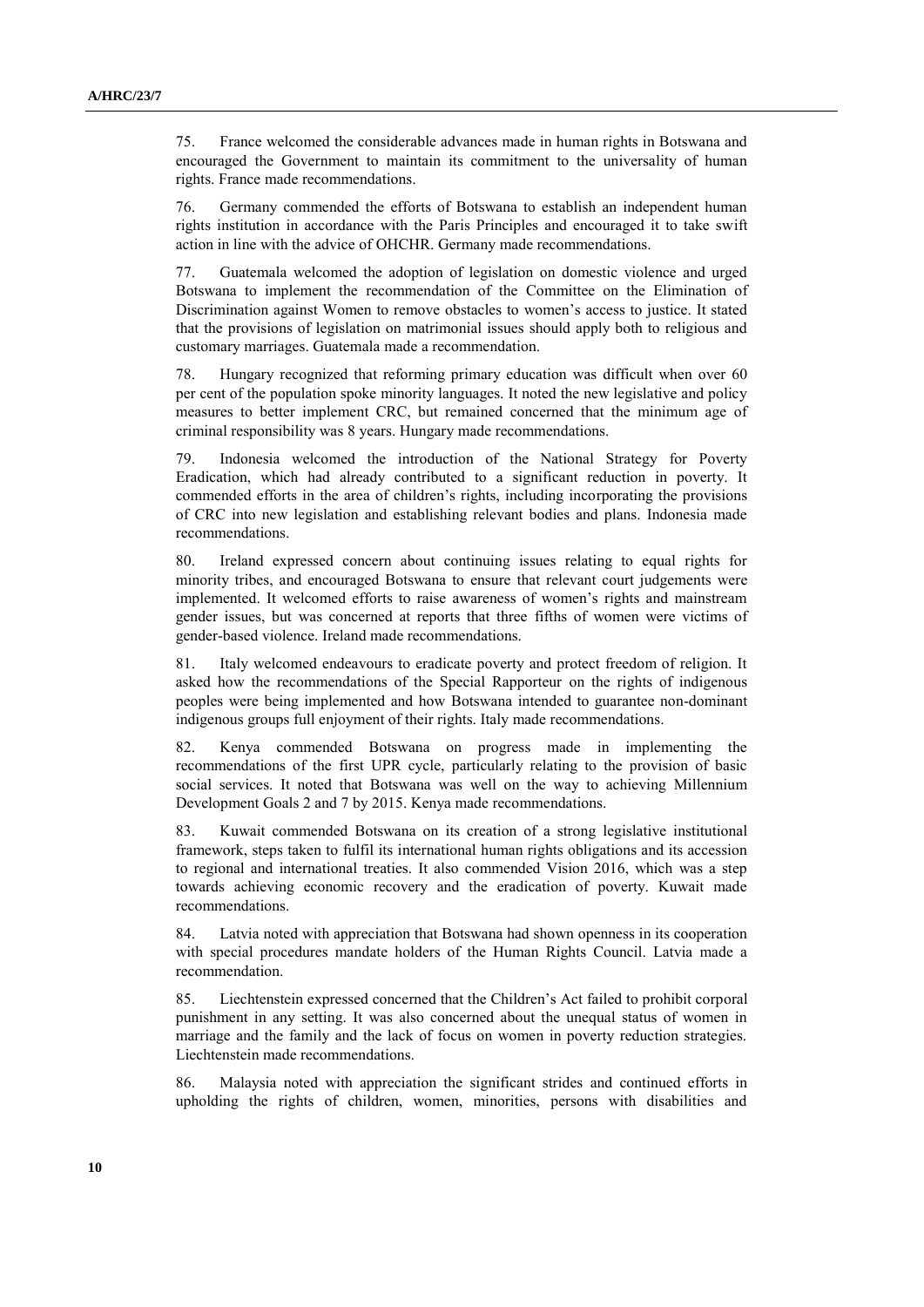75. France welcomed the considerable advances made in human rights in Botswana and encouraged the Government to maintain its commitment to the universality of human rights. France made recommendations.

76. Germany commended the efforts of Botswana to establish an independent human rights institution in accordance with the Paris Principles and encouraged it to take swift action in line with the advice of OHCHR. Germany made recommendations.

77. Guatemala welcomed the adoption of legislation on domestic violence and urged Botswana to implement the recommendation of the Committee on the Elimination of Discrimination against Women to remove obstacles to women's access to justice. It stated that the provisions of legislation on matrimonial issues should apply both to religious and customary marriages. Guatemala made a recommendation.

78. Hungary recognized that reforming primary education was difficult when over 60 per cent of the population spoke minority languages. It noted the new legislative and policy measures to better implement CRC, but remained concerned that the minimum age of criminal responsibility was 8 years. Hungary made recommendations.

79. Indonesia welcomed the introduction of the National Strategy for Poverty Eradication, which had already contributed to a significant reduction in poverty. It commended efforts in the area of children's rights, including incorporating the provisions of CRC into new legislation and establishing relevant bodies and plans. Indonesia made recommendations.

80. Ireland expressed concern about continuing issues relating to equal rights for minority tribes, and encouraged Botswana to ensure that relevant court judgements were implemented. It welcomed efforts to raise awareness of women's rights and mainstream gender issues, but was concerned at reports that three fifths of women were victims of gender-based violence. Ireland made recommendations.

81. Italy welcomed endeavours to eradicate poverty and protect freedom of religion. It asked how the recommendations of the Special Rapporteur on the rights of indigenous peoples were being implemented and how Botswana intended to guarantee non-dominant indigenous groups full enjoyment of their rights. Italy made recommendations.

82. Kenya commended Botswana on progress made in implementing the recommendations of the first UPR cycle, particularly relating to the provision of basic social services. It noted that Botswana was well on the way to achieving Millennium Development Goals 2 and 7 by 2015. Kenya made recommendations.

83. Kuwait commended Botswana on its creation of a strong legislative institutional framework, steps taken to fulfil its international human rights obligations and its accession to regional and international treaties. It also commended Vision 2016, which was a step towards achieving economic recovery and the eradication of poverty. Kuwait made recommendations.

84. Latvia noted with appreciation that Botswana had shown openness in its cooperation with special procedures mandate holders of the Human Rights Council. Latvia made a recommendation.

85. Liechtenstein expressed concerned that the Children's Act failed to prohibit corporal punishment in any setting. It was also concerned about the unequal status of women in marriage and the family and the lack of focus on women in poverty reduction strategies. Liechtenstein made recommendations.

86. Malaysia noted with appreciation the significant strides and continued efforts in upholding the rights of children, women, minorities, persons with disabilities and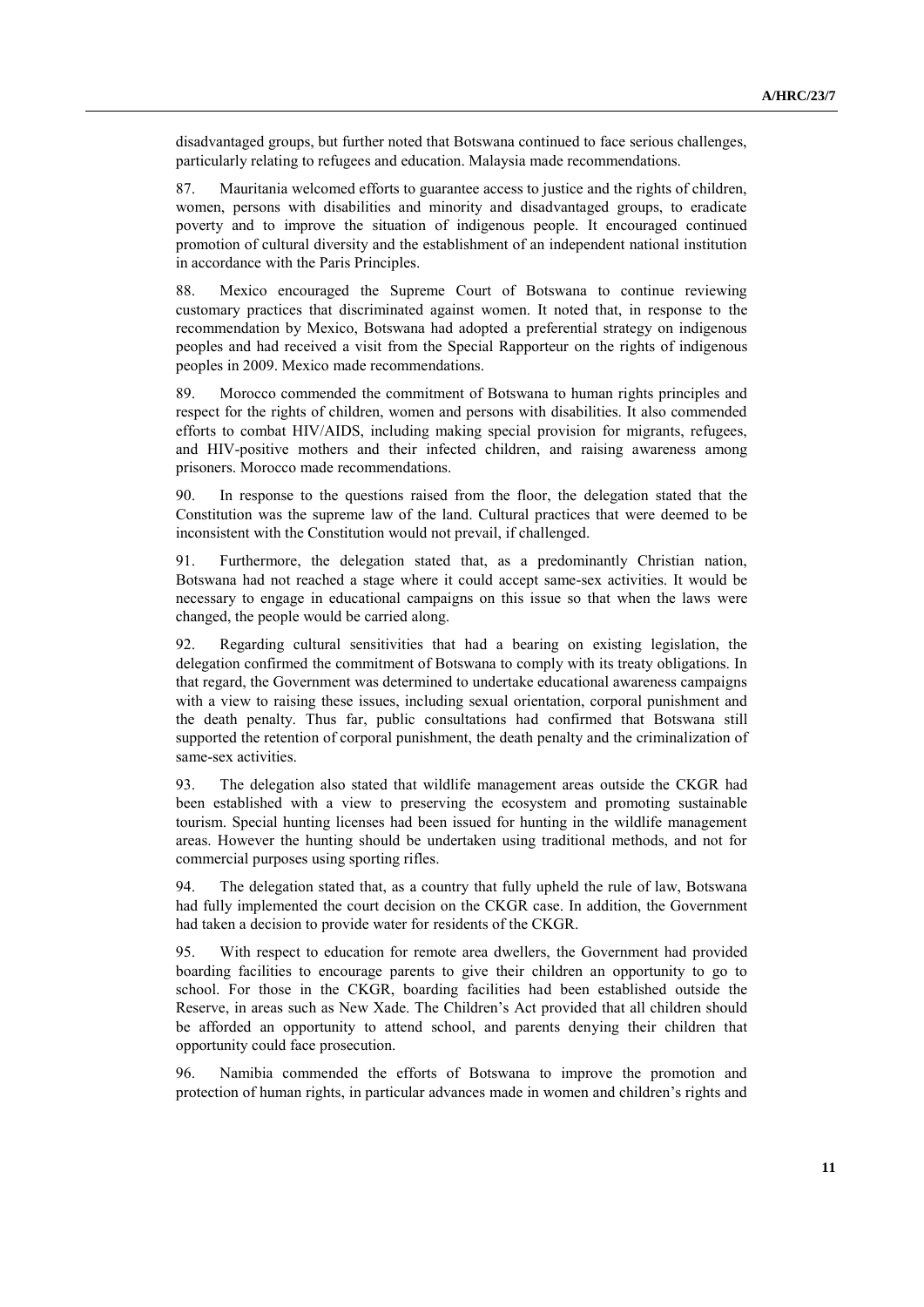disadvantaged groups, but further noted that Botswana continued to face serious challenges, particularly relating to refugees and education. Malaysia made recommendations.

87. Mauritania welcomed efforts to guarantee access to justice and the rights of children, women, persons with disabilities and minority and disadvantaged groups, to eradicate poverty and to improve the situation of indigenous people. It encouraged continued promotion of cultural diversity and the establishment of an independent national institution in accordance with the Paris Principles.

88. Mexico encouraged the Supreme Court of Botswana to continue reviewing customary practices that discriminated against women. It noted that, in response to the recommendation by Mexico, Botswana had adopted a preferential strategy on indigenous peoples and had received a visit from the Special Rapporteur on the rights of indigenous peoples in 2009. Mexico made recommendations.

89. Morocco commended the commitment of Botswana to human rights principles and respect for the rights of children, women and persons with disabilities. It also commended efforts to combat HIV/AIDS, including making special provision for migrants, refugees, and HIV-positive mothers and their infected children, and raising awareness among prisoners. Morocco made recommendations.

90. In response to the questions raised from the floor, the delegation stated that the Constitution was the supreme law of the land. Cultural practices that were deemed to be inconsistent with the Constitution would not prevail, if challenged.

91. Furthermore, the delegation stated that, as a predominantly Christian nation, Botswana had not reached a stage where it could accept same-sex activities. It would be necessary to engage in educational campaigns on this issue so that when the laws were changed, the people would be carried along.

92. Regarding cultural sensitivities that had a bearing on existing legislation, the delegation confirmed the commitment of Botswana to comply with its treaty obligations. In that regard, the Government was determined to undertake educational awareness campaigns with a view to raising these issues, including sexual orientation, corporal punishment and the death penalty. Thus far, public consultations had confirmed that Botswana still supported the retention of corporal punishment, the death penalty and the criminalization of same-sex activities.

93. The delegation also stated that wildlife management areas outside the CKGR had been established with a view to preserving the ecosystem and promoting sustainable tourism. Special hunting licenses had been issued for hunting in the wildlife management areas. However the hunting should be undertaken using traditional methods, and not for commercial purposes using sporting rifles.

94. The delegation stated that, as a country that fully upheld the rule of law, Botswana had fully implemented the court decision on the CKGR case. In addition, the Government had taken a decision to provide water for residents of the CKGR.

95. With respect to education for remote area dwellers, the Government had provided boarding facilities to encourage parents to give their children an opportunity to go to school. For those in the CKGR, boarding facilities had been established outside the Reserve, in areas such as New Xade. The Children's Act provided that all children should be afforded an opportunity to attend school, and parents denying their children that opportunity could face prosecution.

96. Namibia commended the efforts of Botswana to improve the promotion and protection of human rights, in particular advances made in women and children's rights and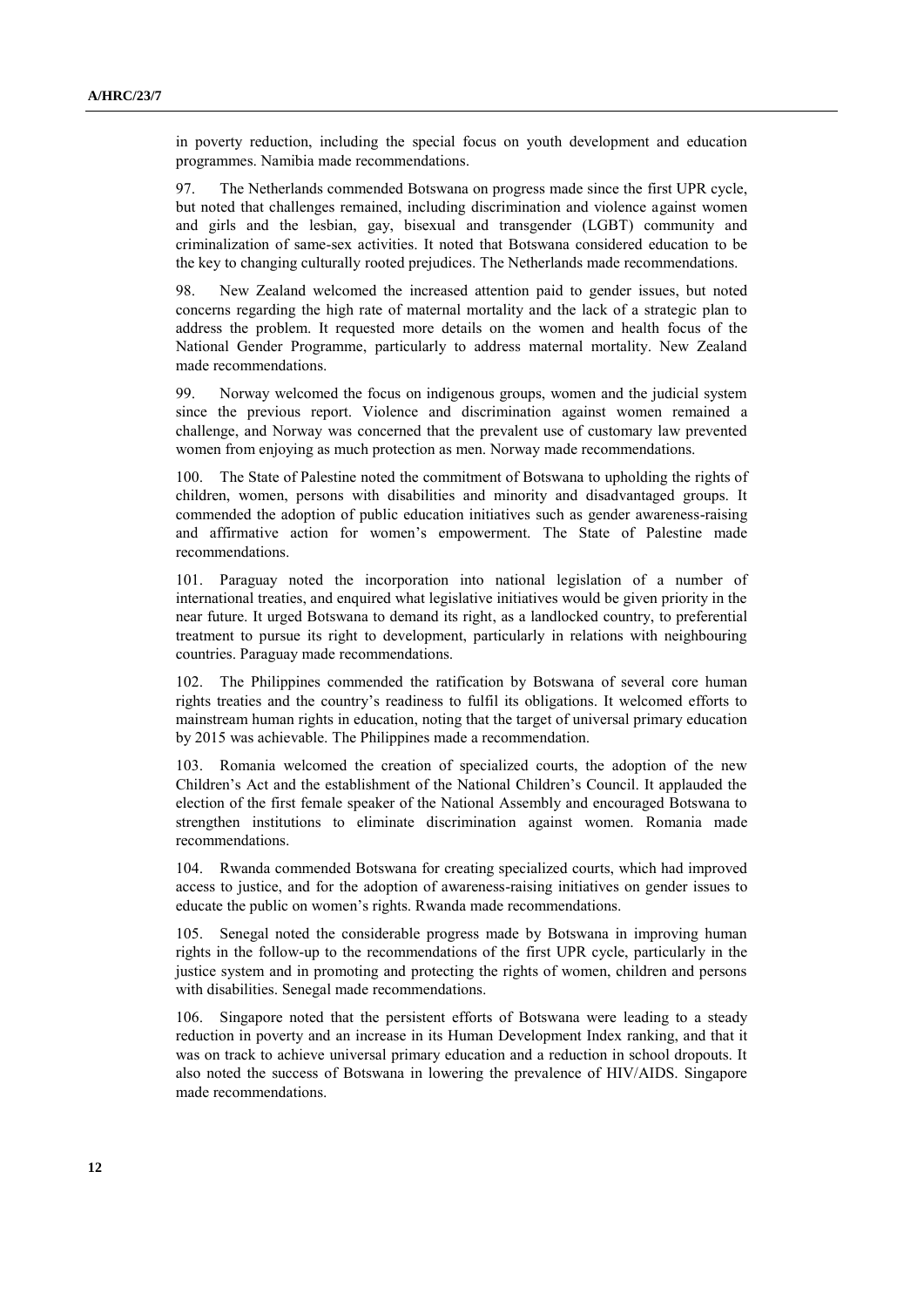in poverty reduction, including the special focus on youth development and education programmes. Namibia made recommendations.

97. The Netherlands commended Botswana on progress made since the first UPR cycle, but noted that challenges remained, including discrimination and violence against women and girls and the lesbian, gay, bisexual and transgender (LGBT) community and criminalization of same-sex activities. It noted that Botswana considered education to be the key to changing culturally rooted prejudices. The Netherlands made recommendations.

98. New Zealand welcomed the increased attention paid to gender issues, but noted concerns regarding the high rate of maternal mortality and the lack of a strategic plan to address the problem. It requested more details on the women and health focus of the National Gender Programme, particularly to address maternal mortality. New Zealand made recommendations.

99. Norway welcomed the focus on indigenous groups, women and the judicial system since the previous report. Violence and discrimination against women remained a challenge, and Norway was concerned that the prevalent use of customary law prevented women from enjoying as much protection as men. Norway made recommendations.

100. The State of Palestine noted the commitment of Botswana to upholding the rights of children, women, persons with disabilities and minority and disadvantaged groups. It commended the adoption of public education initiatives such as gender awareness-raising and affirmative action for women's empowerment. The State of Palestine made recommendations.

101. Paraguay noted the incorporation into national legislation of a number of international treaties, and enquired what legislative initiatives would be given priority in the near future. It urged Botswana to demand its right, as a landlocked country, to preferential treatment to pursue its right to development, particularly in relations with neighbouring countries. Paraguay made recommendations.

102. The Philippines commended the ratification by Botswana of several core human rights treaties and the country's readiness to fulfil its obligations. It welcomed efforts to mainstream human rights in education, noting that the target of universal primary education by 2015 was achievable. The Philippines made a recommendation.

103. Romania welcomed the creation of specialized courts, the adoption of the new Children's Act and the establishment of the National Children's Council. It applauded the election of the first female speaker of the National Assembly and encouraged Botswana to strengthen institutions to eliminate discrimination against women. Romania made recommendations.

104. Rwanda commended Botswana for creating specialized courts, which had improved access to justice, and for the adoption of awareness-raising initiatives on gender issues to educate the public on women's rights. Rwanda made recommendations.

105. Senegal noted the considerable progress made by Botswana in improving human rights in the follow-up to the recommendations of the first UPR cycle, particularly in the justice system and in promoting and protecting the rights of women, children and persons with disabilities. Senegal made recommendations.

106. Singapore noted that the persistent efforts of Botswana were leading to a steady reduction in poverty and an increase in its Human Development Index ranking, and that it was on track to achieve universal primary education and a reduction in school dropouts. It also noted the success of Botswana in lowering the prevalence of HIV/AIDS. Singapore made recommendations.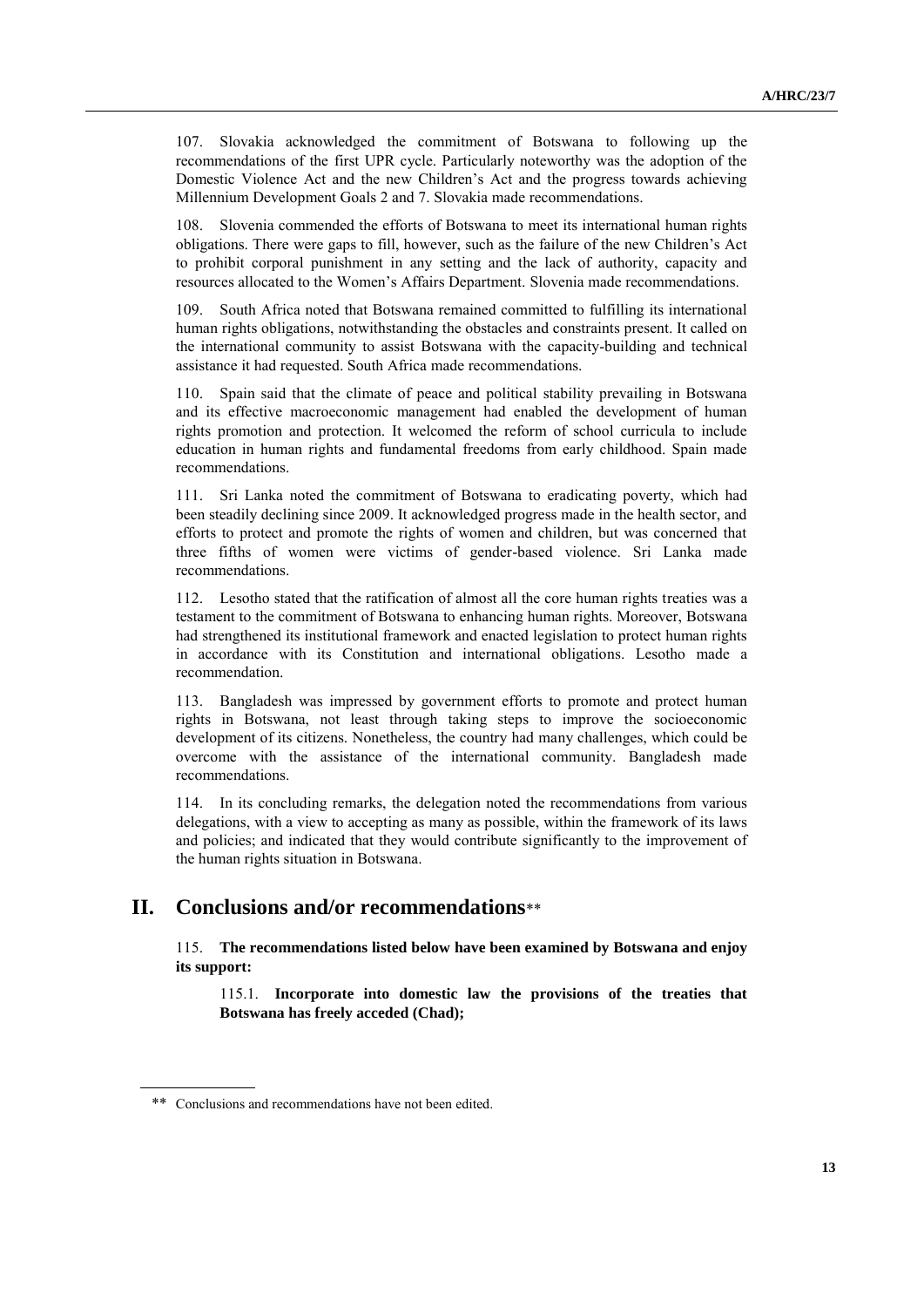107. Slovakia acknowledged the commitment of Botswana to following up the recommendations of the first UPR cycle. Particularly noteworthy was the adoption of the Domestic Violence Act and the new Children's Act and the progress towards achieving Millennium Development Goals 2 and 7. Slovakia made recommendations.

108. Slovenia commended the efforts of Botswana to meet its international human rights obligations. There were gaps to fill, however, such as the failure of the new Children's Act to prohibit corporal punishment in any setting and the lack of authority, capacity and resources allocated to the Women's Affairs Department. Slovenia made recommendations.

109. South Africa noted that Botswana remained committed to fulfilling its international human rights obligations, notwithstanding the obstacles and constraints present. It called on the international community to assist Botswana with the capacity-building and technical assistance it had requested. South Africa made recommendations.

110. Spain said that the climate of peace and political stability prevailing in Botswana and its effective macroeconomic management had enabled the development of human rights promotion and protection. It welcomed the reform of school curricula to include education in human rights and fundamental freedoms from early childhood. Spain made recommendations.

111. Sri Lanka noted the commitment of Botswana to eradicating poverty, which had been steadily declining since 2009. It acknowledged progress made in the health sector, and efforts to protect and promote the rights of women and children, but was concerned that three fifths of women were victims of gender-based violence. Sri Lanka made recommendations.

112. Lesotho stated that the ratification of almost all the core human rights treaties was a testament to the commitment of Botswana to enhancing human rights. Moreover, Botswana had strengthened its institutional framework and enacted legislation to protect human rights in accordance with its Constitution and international obligations. Lesotho made a recommendation.

113. Bangladesh was impressed by government efforts to promote and protect human rights in Botswana, not least through taking steps to improve the socioeconomic development of its citizens. Nonetheless, the country had many challenges, which could be overcome with the assistance of the international community. Bangladesh made recommendations.

114. In its concluding remarks, the delegation noted the recommendations from various delegations, with a view to accepting as many as possible, within the framework of its laws and policies; and indicated that they would contribute significantly to the improvement of the human rights situation in Botswana.

## **II. Conclusions and/or recommendations**\*\*

115. **The recommendations listed below have been examined by Botswana and enjoy its support:**

115.1. **Incorporate into domestic law the provisions of the treaties that Botswana has freely acceded (Chad);**

<sup>\*\*</sup> Conclusions and recommendations have not been edited.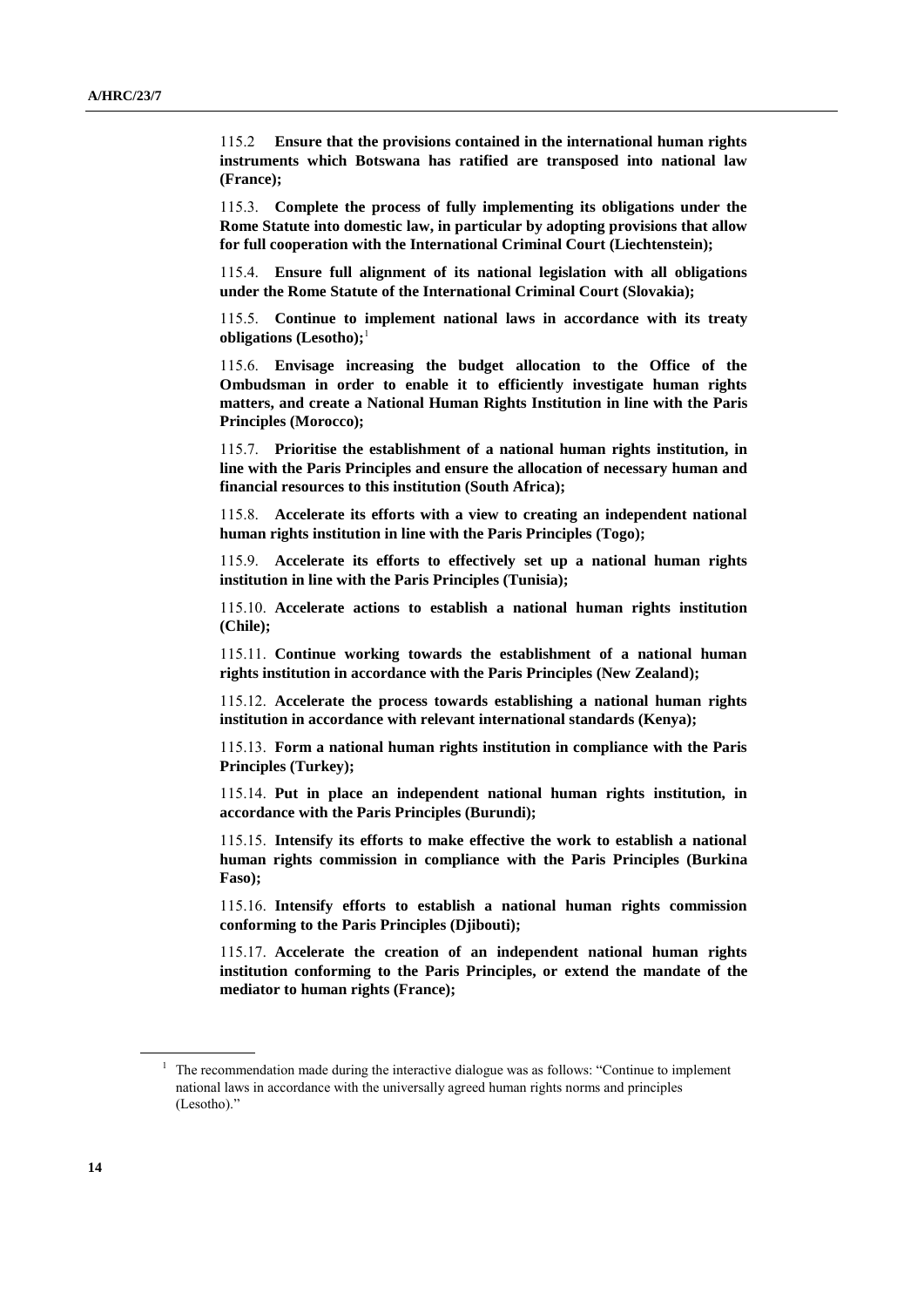115.2 **Ensure that the provisions contained in the international human rights instruments which Botswana has ratified are transposed into national law (France);**

115.3. **Complete the process of fully implementing its obligations under the Rome Statute into domestic law, in particular by adopting provisions that allow for full cooperation with the International Criminal Court (Liechtenstein);**

115.4. **Ensure full alignment of its national legislation with all obligations under the Rome Statute of the International Criminal Court (Slovakia);**

115.5. **Continue to implement national laws in accordance with its treaty obligations (Lesotho);**<sup>1</sup>

115.6. **Envisage increasing the budget allocation to the Office of the Ombudsman in order to enable it to efficiently investigate human rights matters, and create a National Human Rights Institution in line with the Paris Principles (Morocco);**

115.7. **Prioritise the establishment of a national human rights institution, in line with the Paris Principles and ensure the allocation of necessary human and financial resources to this institution (South Africa);**

115.8. **Accelerate its efforts with a view to creating an independent national human rights institution in line with the Paris Principles (Togo);**

115.9. **Accelerate its efforts to effectively set up a national human rights institution in line with the Paris Principles (Tunisia);**

115.10. **Accelerate actions to establish a national human rights institution (Chile);**

115.11. **Continue working towards the establishment of a national human rights institution in accordance with the Paris Principles (New Zealand);**

115.12. **Accelerate the process towards establishing a national human rights institution in accordance with relevant international standards (Kenya);**

115.13. **Form a national human rights institution in compliance with the Paris Principles (Turkey);**

115.14. **Put in place an independent national human rights institution, in accordance with the Paris Principles (Burundi);**

115.15. **Intensify its efforts to make effective the work to establish a national human rights commission in compliance with the Paris Principles (Burkina Faso);**

115.16. **Intensify efforts to establish a national human rights commission conforming to the Paris Principles (Djibouti);**

115.17. **Accelerate the creation of an independent national human rights institution conforming to the Paris Principles, or extend the mandate of the mediator to human rights (France);**

<sup>&</sup>lt;sup>1</sup> The recommendation made during the interactive dialogue was as follows: "Continue to implement national laws in accordance with the universally agreed human rights norms and principles (Lesotho)."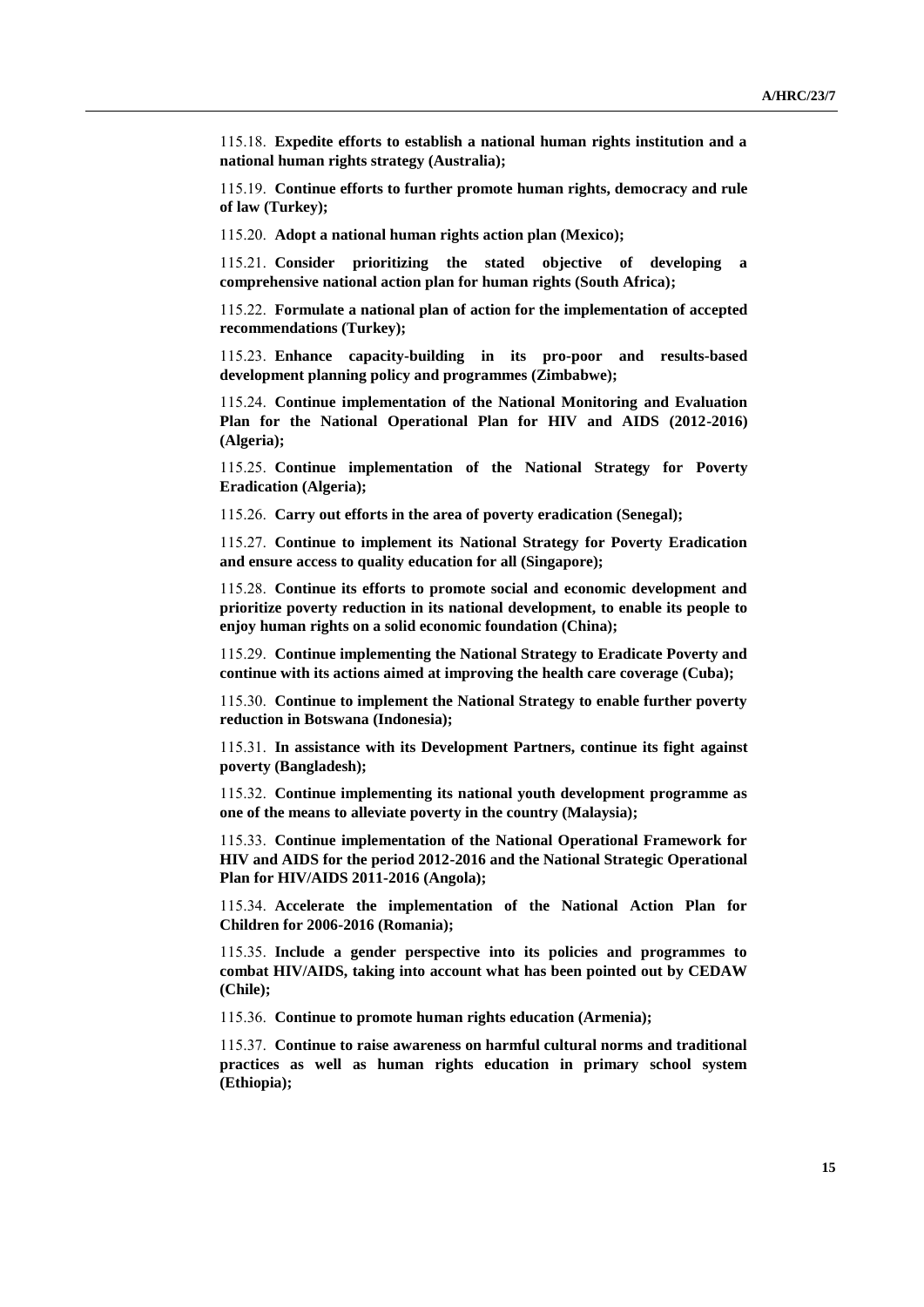115.18. **Expedite efforts to establish a national human rights institution and a national human rights strategy (Australia);**

115.19. **Continue efforts to further promote human rights, democracy and rule of law (Turkey);**

115.20. **Adopt a national human rights action plan (Mexico);**

115.21. **Consider prioritizing the stated objective of developing a comprehensive national action plan for human rights (South Africa);**

115.22. **Formulate a national plan of action for the implementation of accepted recommendations (Turkey);**

115.23. **Enhance capacity-building in its pro-poor and results-based development planning policy and programmes (Zimbabwe);**

115.24. **Continue implementation of the National Monitoring and Evaluation Plan for the National Operational Plan for HIV and AIDS (2012-2016) (Algeria);**

115.25. **Continue implementation of the National Strategy for Poverty Eradication (Algeria);**

115.26. **Carry out efforts in the area of poverty eradication (Senegal);**

115.27. **Continue to implement its National Strategy for Poverty Eradication and ensure access to quality education for all (Singapore);**

115.28. **Continue its efforts to promote social and economic development and prioritize poverty reduction in its national development, to enable its people to enjoy human rights on a solid economic foundation (China);**

115.29. **Continue implementing the National Strategy to Eradicate Poverty and continue with its actions aimed at improving the health care coverage (Cuba);**

115.30. **Continue to implement the National Strategy to enable further poverty reduction in Botswana (Indonesia);**

115.31. **In assistance with its Development Partners, continue its fight against poverty (Bangladesh);**

115.32. **Continue implementing its national youth development programme as one of the means to alleviate poverty in the country (Malaysia);**

115.33. **Continue implementation of the National Operational Framework for HIV and AIDS for the period 2012-2016 and the National Strategic Operational Plan for HIV/AIDS 2011-2016 (Angola);**

115.34. **Accelerate the implementation of the National Action Plan for Children for 2006-2016 (Romania);**

115.35. **Include a gender perspective into its policies and programmes to combat HIV/AIDS, taking into account what has been pointed out by CEDAW (Chile);**

115.36. **Continue to promote human rights education (Armenia);**

115.37. **Continue to raise awareness on harmful cultural norms and traditional practices as well as human rights education in primary school system (Ethiopia);**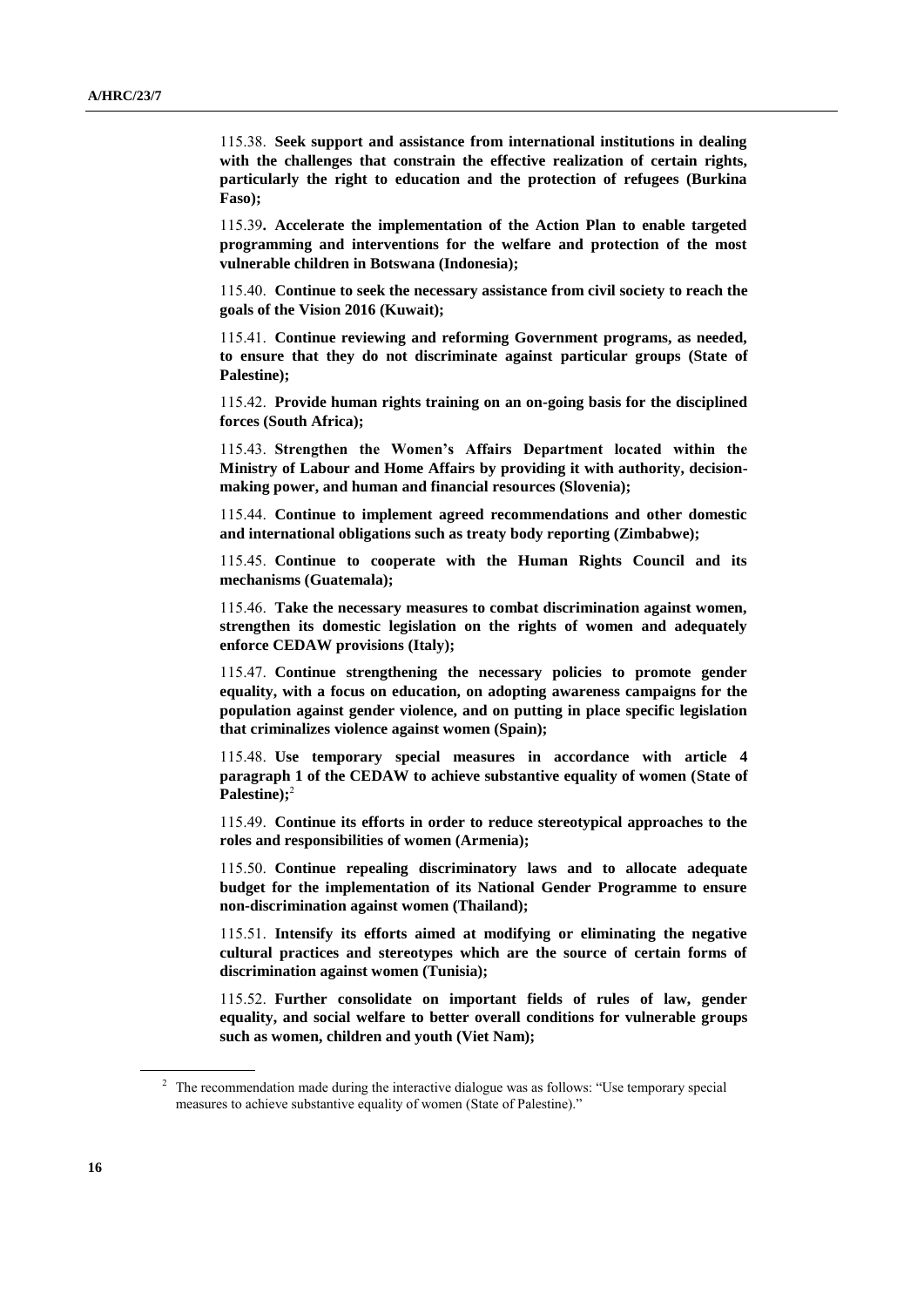115.38. **Seek support and assistance from international institutions in dealing with the challenges that constrain the effective realization of certain rights, particularly the right to education and the protection of refugees (Burkina Faso);**

115.39**. Accelerate the implementation of the Action Plan to enable targeted programming and interventions for the welfare and protection of the most vulnerable children in Botswana (Indonesia);**

115.40. **Continue to seek the necessary assistance from civil society to reach the goals of the Vision 2016 (Kuwait);**

115.41. **Continue reviewing and reforming Government programs, as needed, to ensure that they do not discriminate against particular groups (State of Palestine);**

115.42. **Provide human rights training on an on-going basis for the disciplined forces (South Africa);**

115.43. **Strengthen the Women's Affairs Department located within the Ministry of Labour and Home Affairs by providing it with authority, decisionmaking power, and human and financial resources (Slovenia);**

115.44. **Continue to implement agreed recommendations and other domestic and international obligations such as treaty body reporting (Zimbabwe);**

115.45. **Continue to cooperate with the Human Rights Council and its mechanisms (Guatemala);**

115.46. **Take the necessary measures to combat discrimination against women, strengthen its domestic legislation on the rights of women and adequately enforce CEDAW provisions (Italy);**

115.47. **Continue strengthening the necessary policies to promote gender equality, with a focus on education, on adopting awareness campaigns for the population against gender violence, and on putting in place specific legislation that criminalizes violence against women (Spain);**

115.48. **Use temporary special measures in accordance with article 4 paragraph 1 of the CEDAW to achieve substantive equality of women (State of Palestine);**<sup>2</sup>

115.49. **Continue its efforts in order to reduce stereotypical approaches to the roles and responsibilities of women (Armenia);**

115.50. **Continue repealing discriminatory laws and to allocate adequate budget for the implementation of its National Gender Programme to ensure non-discrimination against women (Thailand);**

115.51. **Intensify its efforts aimed at modifying or eliminating the negative cultural practices and stereotypes which are the source of certain forms of discrimination against women (Tunisia);**

115.52. **Further consolidate on important fields of rules of law, gender equality, and social welfare to better overall conditions for vulnerable groups such as women, children and youth (Viet Nam);**

<sup>&</sup>lt;sup>2</sup> The recommendation made during the interactive dialogue was as follows: "Use temporary special measures to achieve substantive equality of women (State of Palestine)."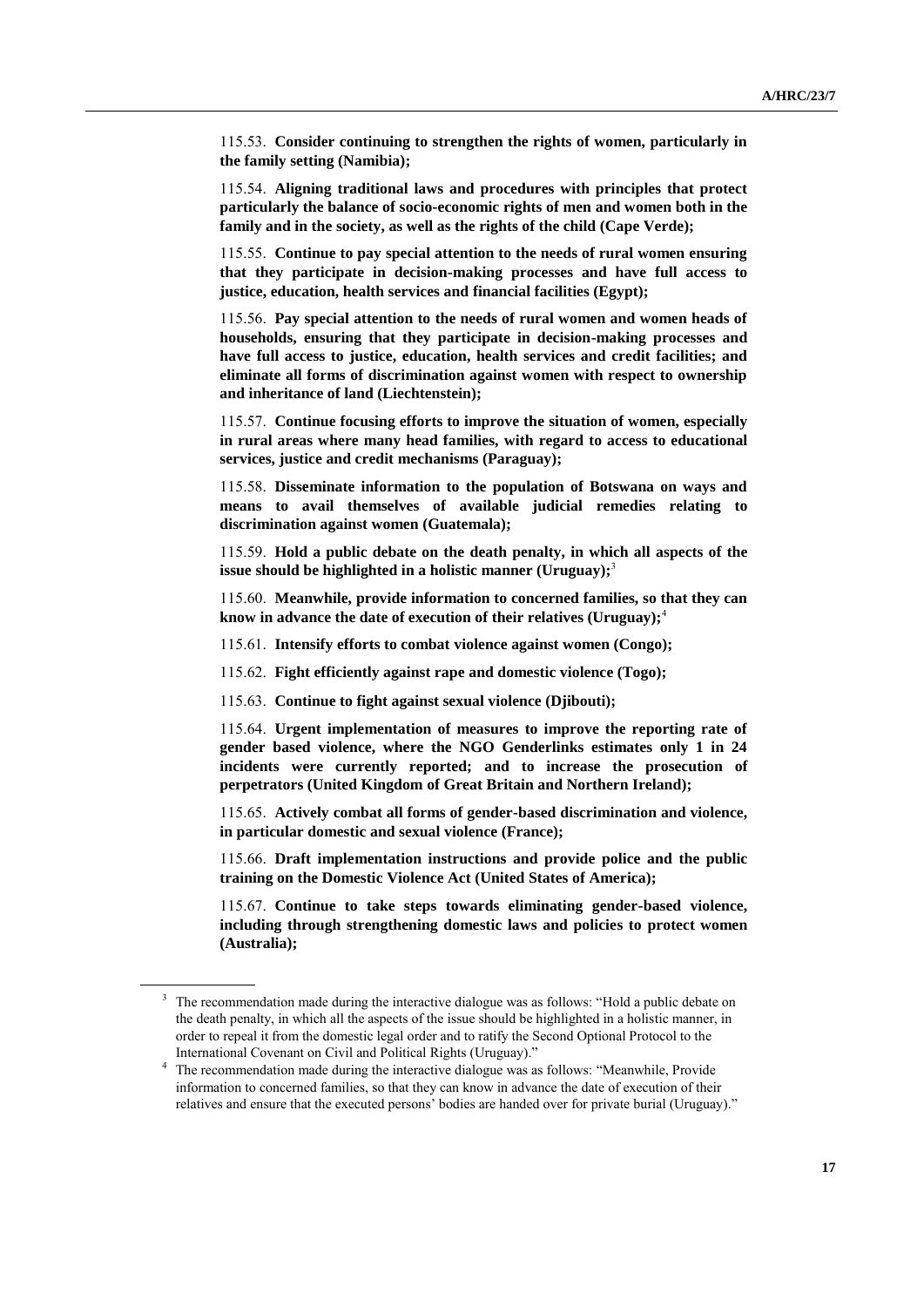115.53. **Consider continuing to strengthen the rights of women, particularly in the family setting (Namibia);**

115.54. **Aligning traditional laws and procedures with principles that protect particularly the balance of socio-economic rights of men and women both in the family and in the society, as well as the rights of the child (Cape Verde);**

115.55. **Continue to pay special attention to the needs of rural women ensuring that they participate in decision-making processes and have full access to justice, education, health services and financial facilities (Egypt);**

115.56. **Pay special attention to the needs of rural women and women heads of households, ensuring that they participate in decision-making processes and have full access to justice, education, health services and credit facilities; and eliminate all forms of discrimination against women with respect to ownership and inheritance of land (Liechtenstein);**

115.57. **Continue focusing efforts to improve the situation of women, especially in rural areas where many head families, with regard to access to educational services, justice and credit mechanisms (Paraguay);**

115.58. **Disseminate information to the population of Botswana on ways and means to avail themselves of available judicial remedies relating to discrimination against women (Guatemala);**

115.59. **Hold a public debate on the death penalty, in which all aspects of the issue should be highlighted in a holistic manner (Uruguay);<sup>3</sup>** 

115.60. **Meanwhile, provide information to concerned families, so that they can know in advance the date of execution of their relatives (Uruguay);**<sup>4</sup>

115.61. **Intensify efforts to combat violence against women (Congo);**

115.62. **Fight efficiently against rape and domestic violence (Togo);**

115.63. **Continue to fight against sexual violence (Djibouti);**

115.64. **Urgent implementation of measures to improve the reporting rate of gender based violence, where the NGO Genderlinks estimates only 1 in 24 incidents were currently reported; and to increase the prosecution of perpetrators (United Kingdom of Great Britain and Northern Ireland);**

115.65. **Actively combat all forms of gender-based discrimination and violence, in particular domestic and sexual violence (France);**

115.66. **Draft implementation instructions and provide police and the public training on the Domestic Violence Act (United States of America);**

115.67. **Continue to take steps towards eliminating gender-based violence, including through strengthening domestic laws and policies to protect women (Australia);**

<sup>&</sup>lt;sup>3</sup> The recommendation made during the interactive dialogue was as follows: "Hold a public debate on the death penalty, in which all the aspects of the issue should be highlighted in a holistic manner, in order to repeal it from the domestic legal order and to ratify the Second Optional Protocol to the International Covenant on Civil and Political Rights (Uruguay)."

<sup>&</sup>lt;sup>4</sup> The recommendation made during the interactive dialogue was as follows: "Meanwhile, Provide information to concerned families, so that they can know in advance the date of execution of their relatives and ensure that the executed persons' bodies are handed over for private burial (Uruguay)."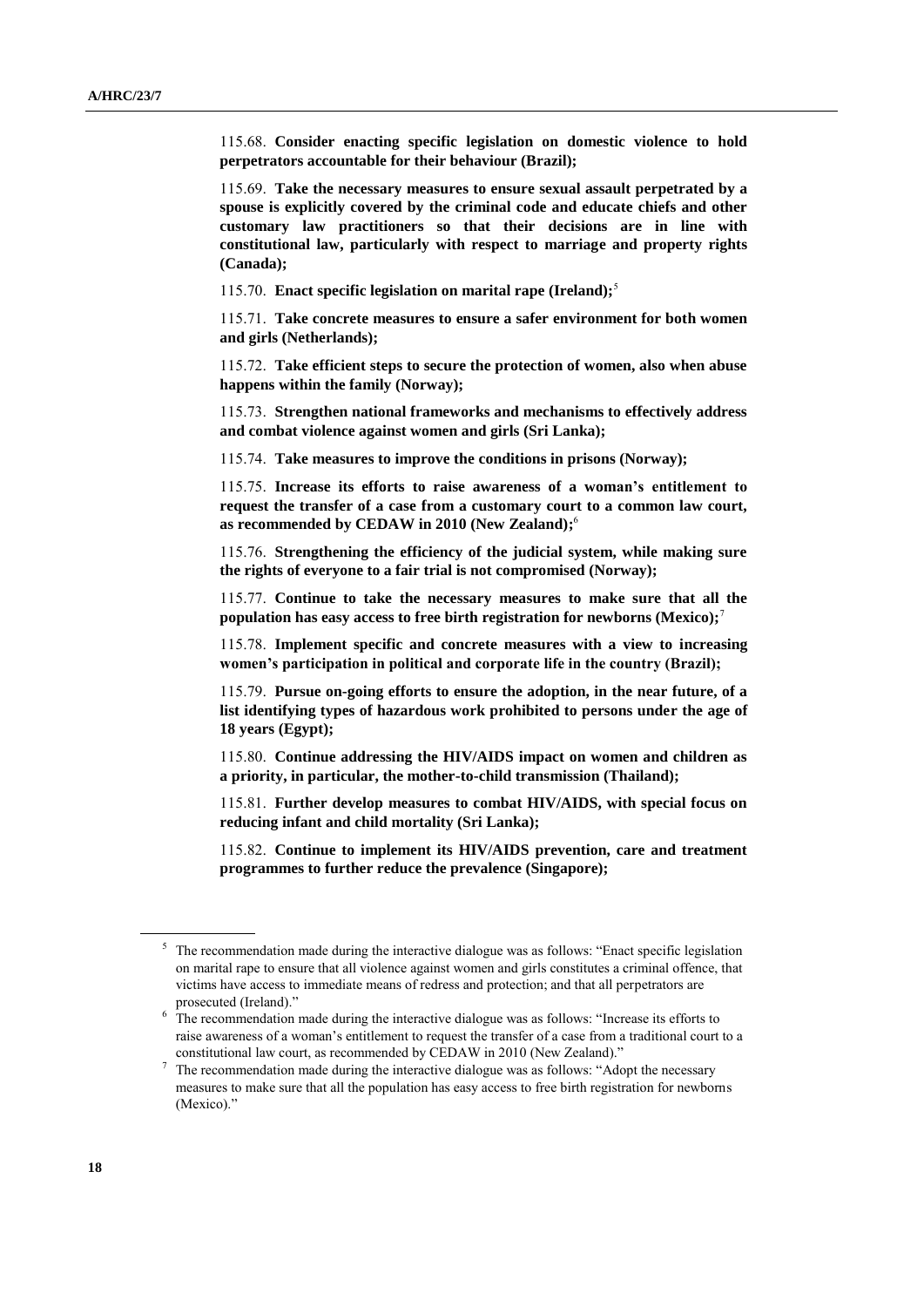115.68. **Consider enacting specific legislation on domestic violence to hold perpetrators accountable for their behaviour (Brazil);**

115.69. **Take the necessary measures to ensure sexual assault perpetrated by a spouse is explicitly covered by the criminal code and educate chiefs and other customary law practitioners so that their decisions are in line with constitutional law, particularly with respect to marriage and property rights (Canada);**

115.70. **Enact specific legislation on marital rape (Ireland);**<sup>5</sup>

115.71. **Take concrete measures to ensure a safer environment for both women and girls (Netherlands);**

115.72. **Take efficient steps to secure the protection of women, also when abuse happens within the family (Norway);**

115.73. **Strengthen national frameworks and mechanisms to effectively address and combat violence against women and girls (Sri Lanka);**

115.74. **Take measures to improve the conditions in prisons (Norway);**

115.75. **Increase its efforts to raise awareness of a woman's entitlement to request the transfer of a case from a customary court to a common law court, as recommended by CEDAW in 2010 (New Zealand);** 6

115.76. **Strengthening the efficiency of the judicial system, while making sure the rights of everyone to a fair trial is not compromised (Norway);**

115.77. **Continue to take the necessary measures to make sure that all the population has easy access to free birth registration for newborns (Mexico);**<sup>7</sup>

115.78. **Implement specific and concrete measures with a view to increasing women's participation in political and corporate life in the country (Brazil);**

115.79. **Pursue on-going efforts to ensure the adoption, in the near future, of a list identifying types of hazardous work prohibited to persons under the age of 18 years (Egypt);**

115.80. **Continue addressing the HIV/AIDS impact on women and children as a priority, in particular, the mother-to-child transmission (Thailand);**

115.81. **Further develop measures to combat HIV/AIDS, with special focus on reducing infant and child mortality (Sri Lanka);**

115.82. **Continue to implement its HIV/AIDS prevention, care and treatment programmes to further reduce the prevalence (Singapore);**

<sup>&</sup>lt;sup>5</sup> The recommendation made during the interactive dialogue was as follows: "Enact specific legislation on marital rape to ensure that all violence against women and girls constitutes a criminal offence, that victims have access to immediate means of redress and protection; and that all perpetrators are prosecuted (Ireland)."

<sup>&</sup>lt;sup>6</sup> The recommendation made during the interactive dialogue was as follows: "Increase its efforts to raise awareness of a woman's entitlement to request the transfer of a case from a traditional court to a constitutional law court, as recommended by CEDAW in 2010 (New Zealand)."

<sup>&</sup>lt;sup>7</sup> The recommendation made during the interactive dialogue was as follows: "Adopt the necessary measures to make sure that all the population has easy access to free birth registration for newborns (Mexico)."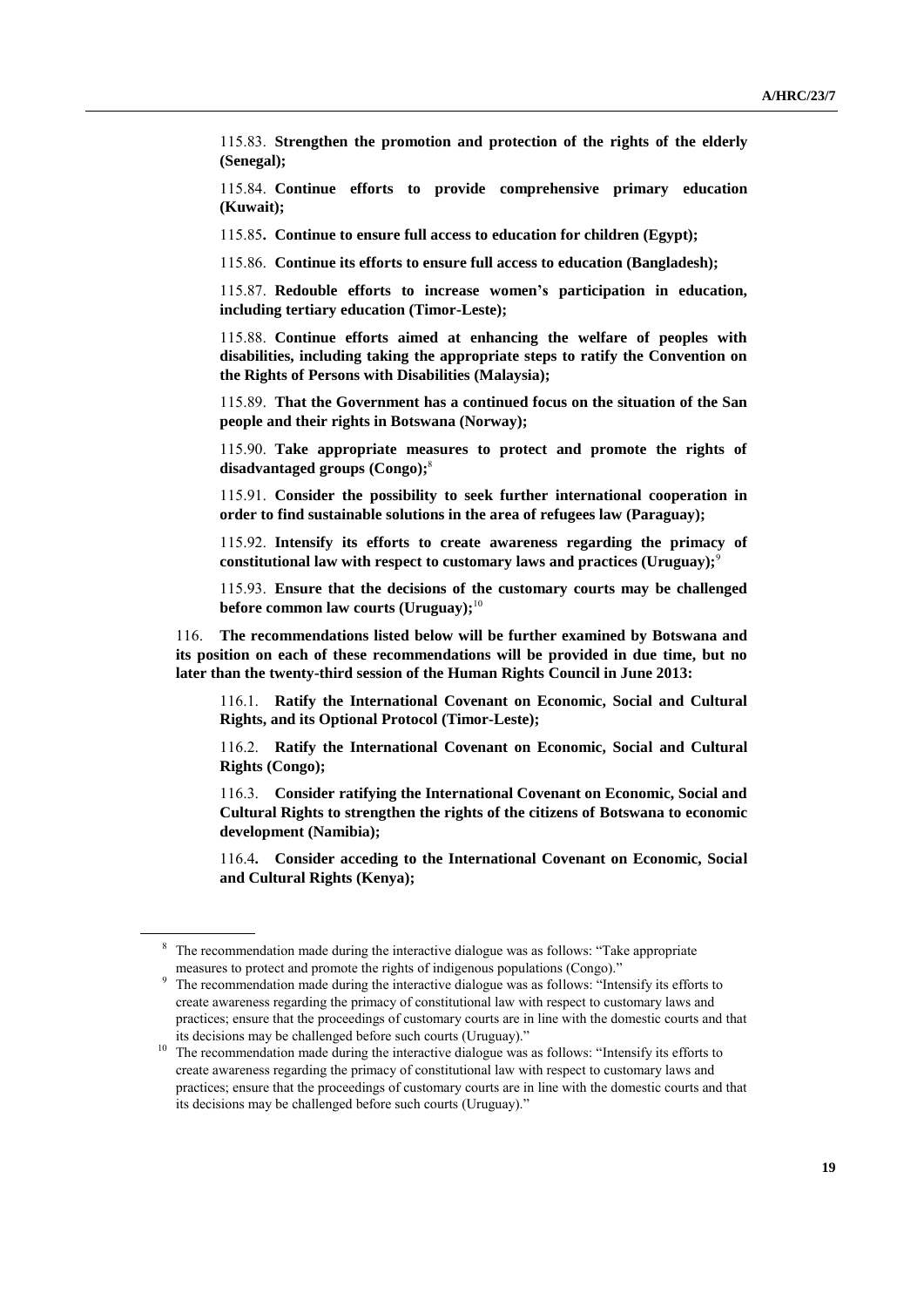115.83. **Strengthen the promotion and protection of the rights of the elderly (Senegal);**

115.84. **Continue efforts to provide comprehensive primary education (Kuwait);**

115.85**. Continue to ensure full access to education for children (Egypt);**

115.86. **Continue its efforts to ensure full access to education (Bangladesh);**

115.87. **Redouble efforts to increase women's participation in education, including tertiary education (Timor-Leste);**

115.88. **Continue efforts aimed at enhancing the welfare of peoples with disabilities, including taking the appropriate steps to ratify the Convention on the Rights of Persons with Disabilities (Malaysia);**

115.89. **That the Government has a continued focus on the situation of the San people and their rights in Botswana (Norway);**

115.90. **Take appropriate measures to protect and promote the rights of disadvantaged groups (Congo);** 8

115.91. **Consider the possibility to seek further international cooperation in order to find sustainable solutions in the area of refugees law (Paraguay);**

115.92. **Intensify its efforts to create awareness regarding the primacy of constitutional law with respect to customary laws and practices (Uruguay);**<sup>9</sup>

115.93. **Ensure that the decisions of the customary courts may be challenged before common law courts (Uruguay);**<sup>10</sup>

116. **The recommendations listed below will be further examined by Botswana and its position on each of these recommendations will be provided in due time, but no later than the twenty-third session of the Human Rights Council in June 2013:**

116.1. **Ratify the International Covenant on Economic, Social and Cultural Rights, and its Optional Protocol (Timor-Leste);**

116.2. **Ratify the International Covenant on Economic, Social and Cultural Rights (Congo);**

116.3. **Consider ratifying the International Covenant on Economic, Social and Cultural Rights to strengthen the rights of the citizens of Botswana to economic development (Namibia);**

116.4**. Consider acceding to the International Covenant on Economic, Social and Cultural Rights (Kenya);**

<sup>&</sup>lt;sup>8</sup> The recommendation made during the interactive dialogue was as follows: "Take appropriate measures to protect and promote the rights of indigenous populations (Congo)."

<sup>&</sup>lt;sup>9</sup> The recommendation made during the interactive dialogue was as follows: "Intensify its efforts to create awareness regarding the primacy of constitutional law with respect to customary laws and practices; ensure that the proceedings of customary courts are in line with the domestic courts and that its decisions may be challenged before such courts (Uruguay)."

<sup>&</sup>lt;sup>10</sup> The recommendation made during the interactive dialogue was as follows: "Intensify its efforts to create awareness regarding the primacy of constitutional law with respect to customary laws and practices; ensure that the proceedings of customary courts are in line with the domestic courts and that its decisions may be challenged before such courts (Uruguay)."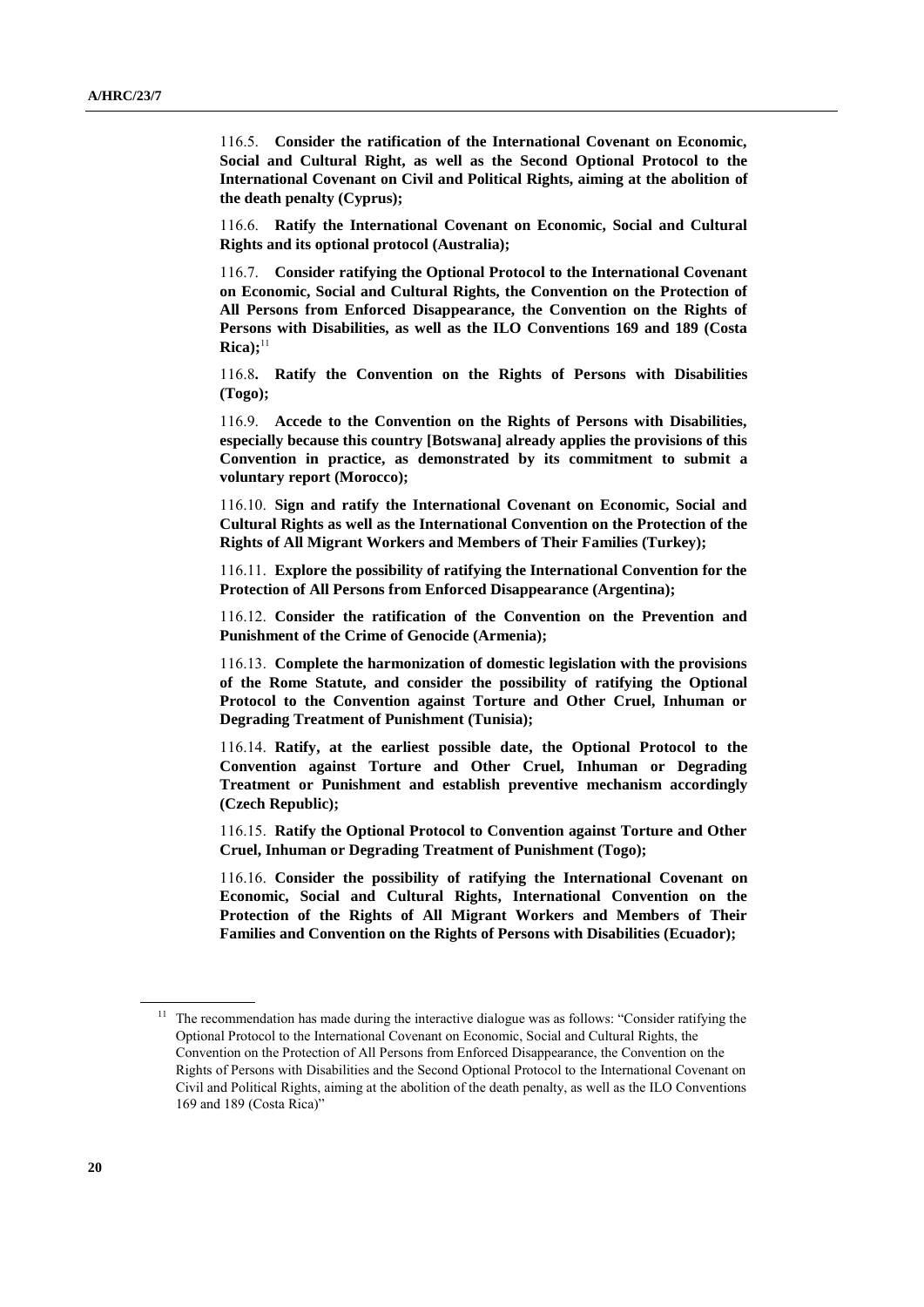116.5. **Consider the ratification of the International Covenant on Economic, Social and Cultural Right, as well as the Second Optional Protocol to the International Covenant on Civil and Political Rights, aiming at the abolition of the death penalty (Cyprus);**

116.6. **Ratify the International Covenant on Economic, Social and Cultural Rights and its optional protocol (Australia);**

116.7. **Consider ratifying the Optional Protocol to the International Covenant on Economic, Social and Cultural Rights, the Convention on the Protection of All Persons from Enforced Disappearance, the Convention on the Rights of Persons with Disabilities, as well as the ILO Conventions 169 and 189 (Costa**   $Rica);$ <sup>11</sup>

116.8**. Ratify the Convention on the Rights of Persons with Disabilities (Togo);**

116.9. **Accede to the Convention on the Rights of Persons with Disabilities, especially because this country [Botswana] already applies the provisions of this Convention in practice, as demonstrated by its commitment to submit a voluntary report (Morocco);**

116.10. **Sign and ratify the International Covenant on Economic, Social and Cultural Rights as well as the International Convention on the Protection of the Rights of All Migrant Workers and Members of Their Families (Turkey);**

116.11. **Explore the possibility of ratifying the International Convention for the Protection of All Persons from Enforced Disappearance (Argentina);**

116.12. **Consider the ratification of the Convention on the Prevention and Punishment of the Crime of Genocide (Armenia);**

116.13. **Complete the harmonization of domestic legislation with the provisions of the Rome Statute, and consider the possibility of ratifying the Optional Protocol to the Convention against Torture and Other Cruel, Inhuman or Degrading Treatment of Punishment (Tunisia);**

116.14. **Ratify, at the earliest possible date, the Optional Protocol to the Convention against Torture and Other Cruel, Inhuman or Degrading Treatment or Punishment and establish preventive mechanism accordingly (Czech Republic);**

116.15. **Ratify the Optional Protocol to Convention against Torture and Other Cruel, Inhuman or Degrading Treatment of Punishment (Togo);**

116.16. **Consider the possibility of ratifying the International Covenant on Economic, Social and Cultural Rights, International Convention on the Protection of the Rights of All Migrant Workers and Members of Their Families and Convention on the Rights of Persons with Disabilities (Ecuador);**

<sup>11</sup> The recommendation has made during the interactive dialogue was as follows: "Consider ratifying the Optional Protocol to the International Covenant on Economic, Social and Cultural Rights, the Convention on the Protection of All Persons from Enforced Disappearance, the Convention on the Rights of Persons with Disabilities and the Second Optional Protocol to the International Covenant on Civil and Political Rights, aiming at the abolition of the death penalty, as well as the ILO Conventions 169 and 189 (Costa Rica)"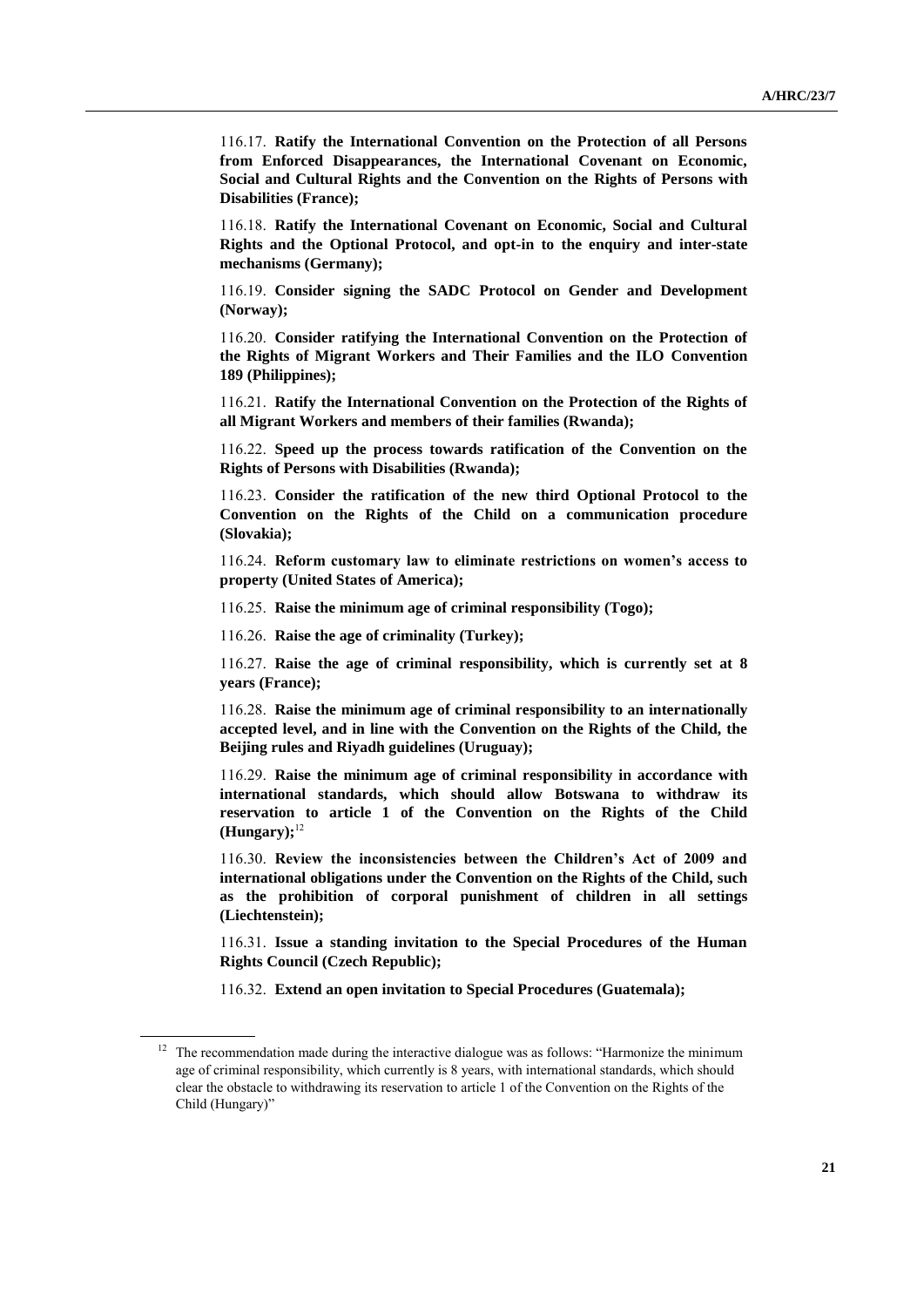116.17. **Ratify the International Convention on the Protection of all Persons from Enforced Disappearances, the International Covenant on Economic, Social and Cultural Rights and the Convention on the Rights of Persons with Disabilities (France);**

116.18. **Ratify the International Covenant on Economic, Social and Cultural Rights and the Optional Protocol, and opt-in to the enquiry and inter-state mechanisms (Germany);**

116.19. **Consider signing the SADC Protocol on Gender and Development (Norway);**

116.20. **Consider ratifying the International Convention on the Protection of the Rights of Migrant Workers and Their Families and the ILO Convention 189 (Philippines);**

116.21. **Ratify the International Convention on the Protection of the Rights of all Migrant Workers and members of their families (Rwanda);**

116.22. **Speed up the process towards ratification of the Convention on the Rights of Persons with Disabilities (Rwanda);**

116.23. **Consider the ratification of the new third Optional Protocol to the Convention on the Rights of the Child on a communication procedure (Slovakia);**

116.24. **Reform customary law to eliminate restrictions on women's access to property (United States of America);**

116.25. **Raise the minimum age of criminal responsibility (Togo);**

116.26. **Raise the age of criminality (Turkey);**

116.27. **Raise the age of criminal responsibility, which is currently set at 8 years (France);**

116.28. **Raise the minimum age of criminal responsibility to an internationally accepted level, and in line with the Convention on the Rights of the Child, the Beijing rules and Riyadh guidelines (Uruguay);**

116.29. **Raise the minimum age of criminal responsibility in accordance with international standards, which should allow Botswana to withdraw its reservation to article 1 of the Convention on the Rights of the Child (Hungary);**<sup>12</sup>

116.30. **Review the inconsistencies between the Children's Act of 2009 and international obligations under the Convention on the Rights of the Child, such as the prohibition of corporal punishment of children in all settings (Liechtenstein);**

116.31. **Issue a standing invitation to the Special Procedures of the Human Rights Council (Czech Republic);**

116.32. **Extend an open invitation to Special Procedures (Guatemala);**

<sup>&</sup>lt;sup>12</sup> The recommendation made during the interactive dialogue was as follows: "Harmonize the minimum age of criminal responsibility, which currently is 8 years, with international standards, which should clear the obstacle to withdrawing its reservation to article 1 of the Convention on the Rights of the Child (Hungary)"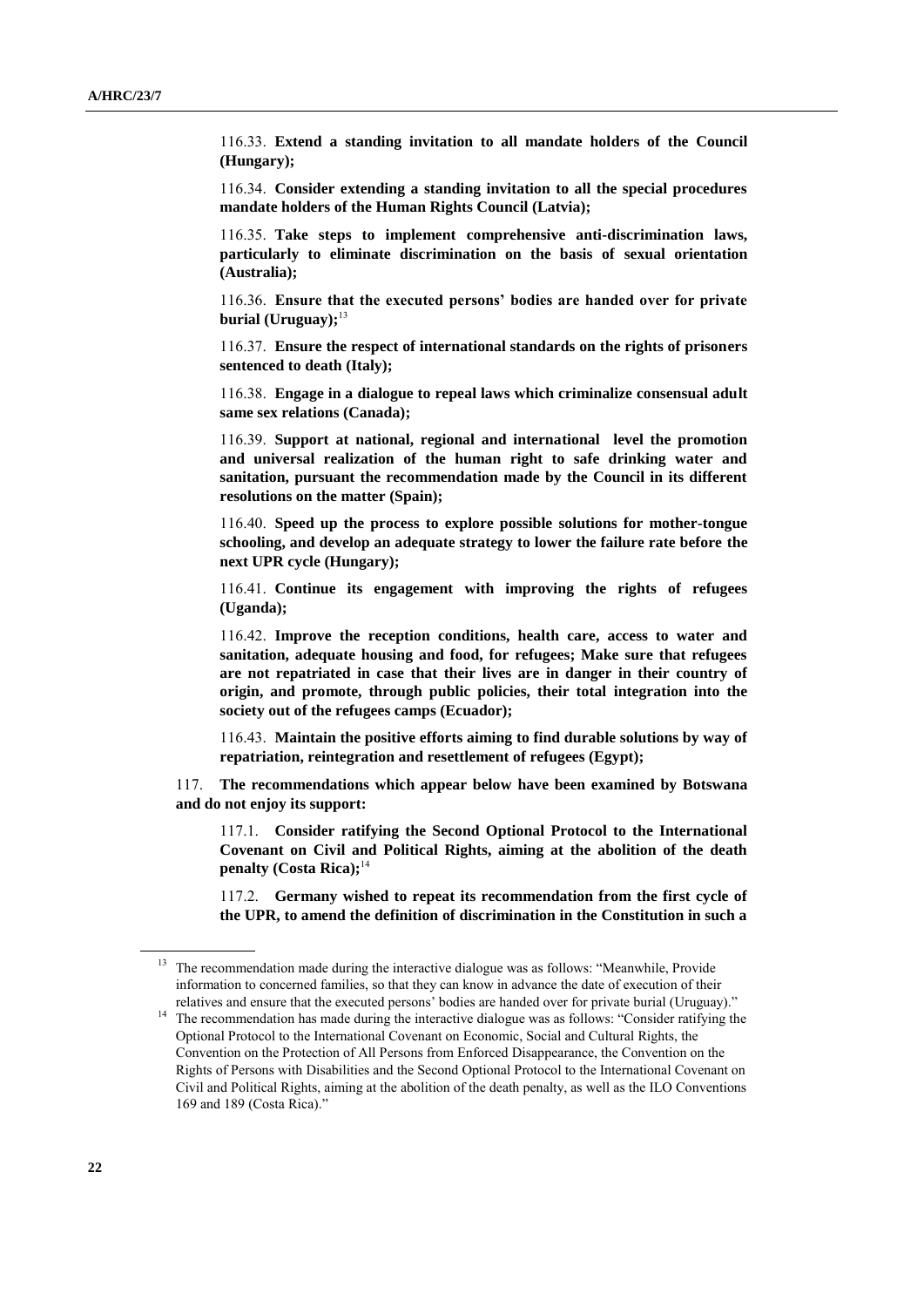116.33. **Extend a standing invitation to all mandate holders of the Council (Hungary);**

116.34. **Consider extending a standing invitation to all the special procedures mandate holders of the Human Rights Council (Latvia);**

116.35. **Take steps to implement comprehensive anti-discrimination laws, particularly to eliminate discrimination on the basis of sexual orientation (Australia);**

116.36. **Ensure that the executed persons' bodies are handed over for private burial (Uruguay);**<sup>13</sup>

116.37. **Ensure the respect of international standards on the rights of prisoners sentenced to death (Italy);**

116.38. **Engage in a dialogue to repeal laws which criminalize consensual adult same sex relations (Canada);**

116.39. **Support at national, regional and international level the promotion and universal realization of the human right to safe drinking water and sanitation, pursuant the recommendation made by the Council in its different resolutions on the matter (Spain);**

116.40. **Speed up the process to explore possible solutions for mother-tongue schooling, and develop an adequate strategy to lower the failure rate before the next UPR cycle (Hungary);**

116.41. **Continue its engagement with improving the rights of refugees (Uganda);**

116.42. **Improve the reception conditions, health care, access to water and sanitation, adequate housing and food, for refugees; Make sure that refugees are not repatriated in case that their lives are in danger in their country of origin, and promote, through public policies, their total integration into the society out of the refugees camps (Ecuador);**

116.43. **Maintain the positive efforts aiming to find durable solutions by way of repatriation, reintegration and resettlement of refugees (Egypt);**

117. **The recommendations which appear below have been examined by Botswana and do not enjoy its support:**

117.1. **Consider ratifying the Second Optional Protocol to the International Covenant on Civil and Political Rights, aiming at the abolition of the death penalty (Costa Rica);**<sup>14</sup>

117.2. **Germany wished to repeat its recommendation from the first cycle of the UPR, to amend the definition of discrimination in the Constitution in such a** 

<sup>&</sup>lt;sup>13</sup> The recommendation made during the interactive dialogue was as follows: "Meanwhile, Provide information to concerned families, so that they can know in advance the date of execution of their relatives and ensure that the executed persons' bodies are handed over for private burial (Uruguay)."

<sup>&</sup>lt;sup>14</sup> The recommendation has made during the interactive dialogue was as follows: "Consider ratifying the Optional Protocol to the International Covenant on Economic, Social and Cultural Rights, the Convention on the Protection of All Persons from Enforced Disappearance, the Convention on the Rights of Persons with Disabilities and the Second Optional Protocol to the International Covenant on Civil and Political Rights, aiming at the abolition of the death penalty, as well as the ILO Conventions 169 and 189 (Costa Rica)."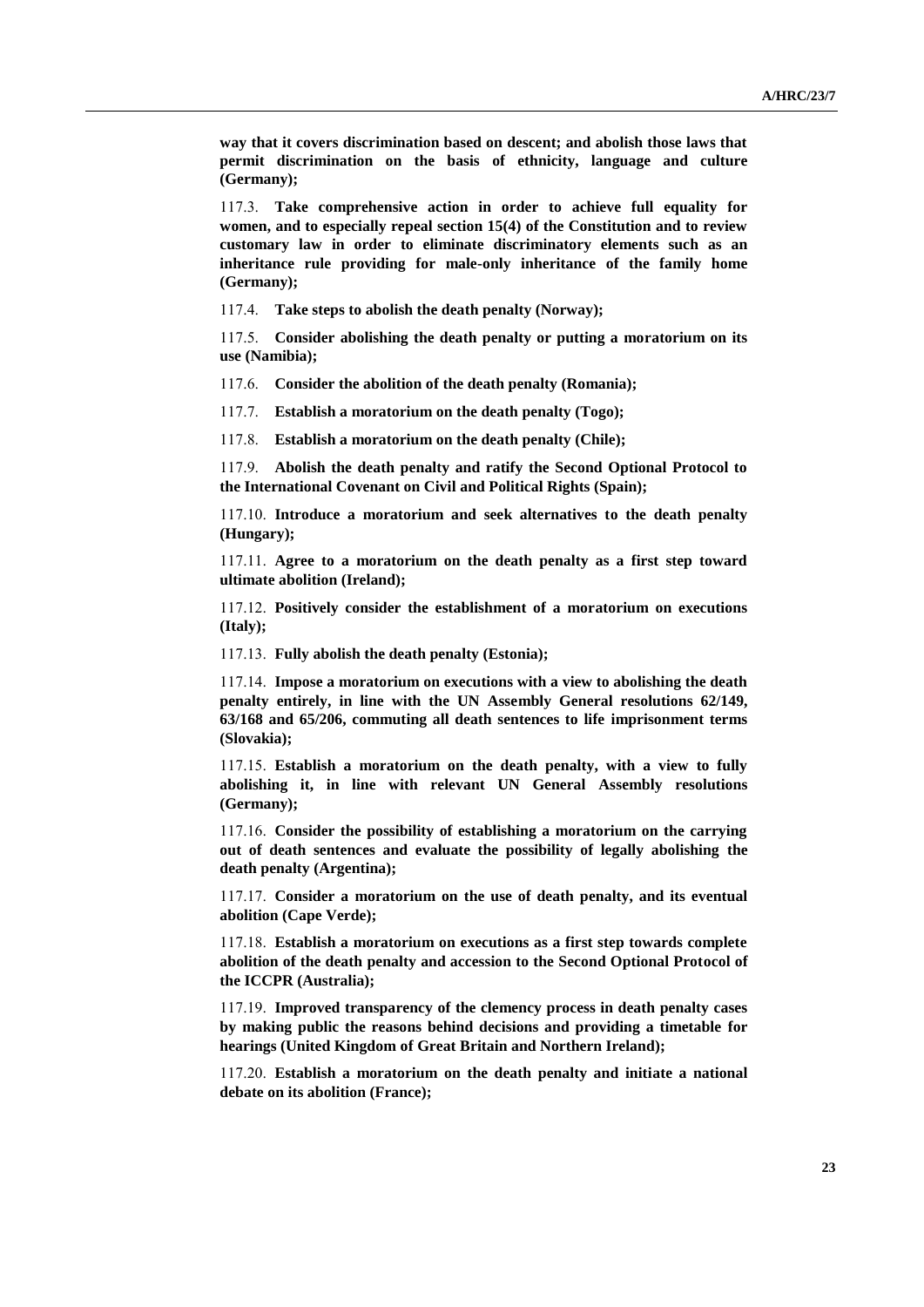**way that it covers discrimination based on descent; and abolish those laws that permit discrimination on the basis of ethnicity, language and culture (Germany);**

117.3. **Take comprehensive action in order to achieve full equality for women, and to especially repeal section 15(4) of the Constitution and to review customary law in order to eliminate discriminatory elements such as an inheritance rule providing for male-only inheritance of the family home (Germany);**

117.4. **Take steps to abolish the death penalty (Norway);**

117.5. **Consider abolishing the death penalty or putting a moratorium on its use (Namibia);**

117.6. **Consider the abolition of the death penalty (Romania);**

117.7. **Establish a moratorium on the death penalty (Togo);**

117.8. **Establish a moratorium on the death penalty (Chile);**

117.9. **Abolish the death penalty and ratify the Second Optional Protocol to the International Covenant on Civil and Political Rights (Spain);**

117.10. **Introduce a moratorium and seek alternatives to the death penalty (Hungary);**

117.11. **Agree to a moratorium on the death penalty as a first step toward ultimate abolition (Ireland);**

117.12. **Positively consider the establishment of a moratorium on executions (Italy);**

117.13. **Fully abolish the death penalty (Estonia);**

117.14. **Impose a moratorium on executions with a view to abolishing the death penalty entirely, in line with the UN Assembly General resolutions 62/149, 63/168 and 65/206, commuting all death sentences to life imprisonment terms (Slovakia);**

117.15. **Establish a moratorium on the death penalty, with a view to fully abolishing it, in line with relevant UN General Assembly resolutions (Germany);**

117.16. **Consider the possibility of establishing a moratorium on the carrying out of death sentences and evaluate the possibility of legally abolishing the death penalty (Argentina);**

117.17. **Consider a moratorium on the use of death penalty, and its eventual abolition (Cape Verde);**

117.18. **Establish a moratorium on executions as a first step towards complete abolition of the death penalty and accession to the Second Optional Protocol of the ICCPR (Australia);**

117.19. **Improved transparency of the clemency process in death penalty cases by making public the reasons behind decisions and providing a timetable for hearings (United Kingdom of Great Britain and Northern Ireland);**

117.20. **Establish a moratorium on the death penalty and initiate a national debate on its abolition (France);**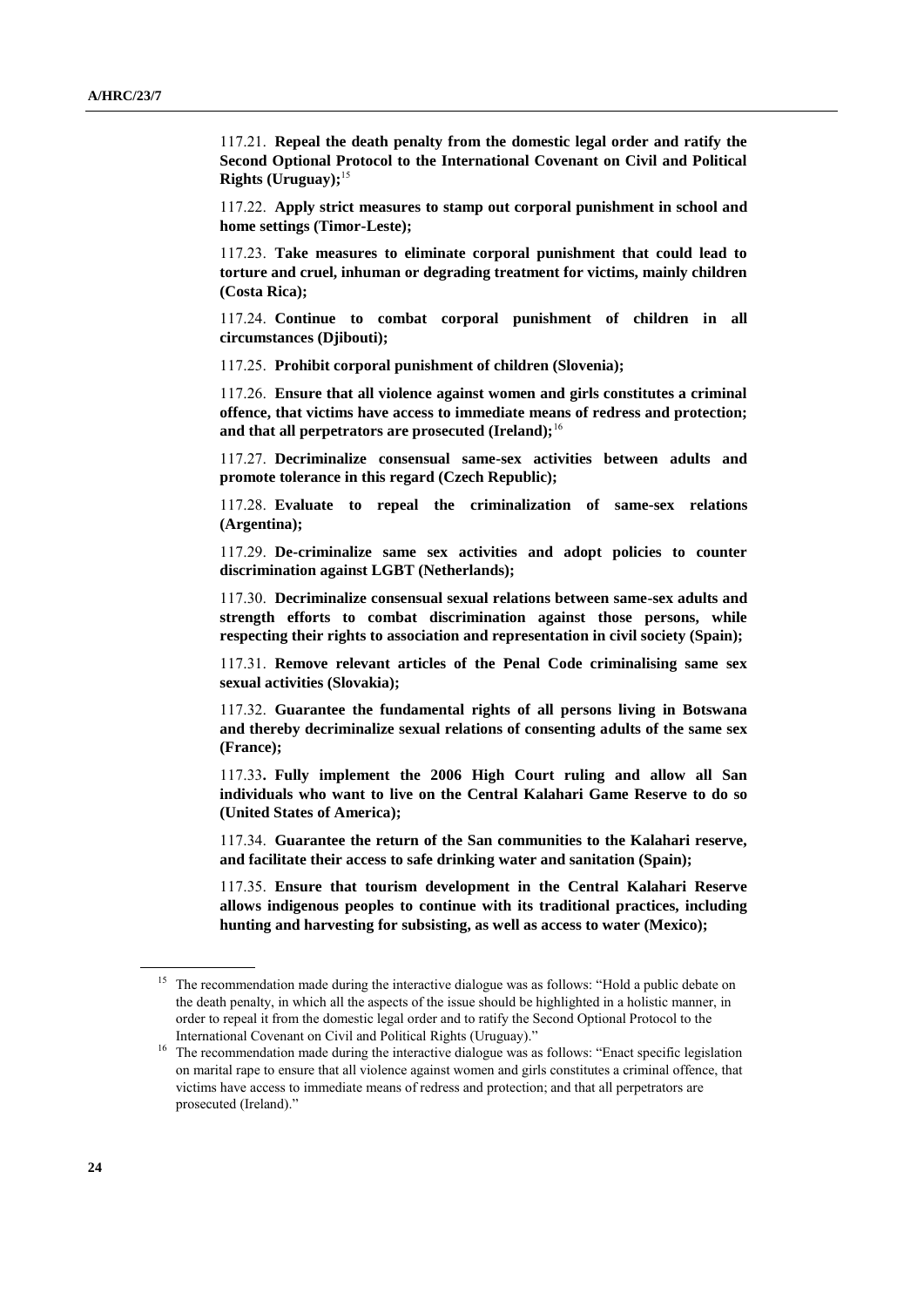117.21. **Repeal the death penalty from the domestic legal order and ratify the Second Optional Protocol to the International Covenant on Civil and Political Rights (Uruguay);**<sup>15</sup>

117.22. **Apply strict measures to stamp out corporal punishment in school and home settings (Timor-Leste);**

117.23. **Take measures to eliminate corporal punishment that could lead to torture and cruel, inhuman or degrading treatment for victims, mainly children (Costa Rica);**

117.24. **Continue to combat corporal punishment of children in all circumstances (Djibouti);**

117.25. **Prohibit corporal punishment of children (Slovenia);**

117.26. **Ensure that all violence against women and girls constitutes a criminal offence, that victims have access to immediate means of redress and protection; and that all perpetrators are prosecuted (Ireland);**<sup>16</sup>

117.27. **Decriminalize consensual same-sex activities between adults and promote tolerance in this regard (Czech Republic);**

117.28. **Evaluate to repeal the criminalization of same-sex relations (Argentina);**

117.29. **De-criminalize same sex activities and adopt policies to counter discrimination against LGBT (Netherlands);**

117.30. **Decriminalize consensual sexual relations between same-sex adults and strength efforts to combat discrimination against those persons, while respecting their rights to association and representation in civil society (Spain);**

117.31. **Remove relevant articles of the Penal Code criminalising same sex sexual activities (Slovakia);**

117.32. **Guarantee the fundamental rights of all persons living in Botswana and thereby decriminalize sexual relations of consenting adults of the same sex (France);**

117.33**. Fully implement the 2006 High Court ruling and allow all San individuals who want to live on the Central Kalahari Game Reserve to do so (United States of America);**

117.34. **Guarantee the return of the San communities to the Kalahari reserve, and facilitate their access to safe drinking water and sanitation (Spain);**

117.35. **Ensure that tourism development in the Central Kalahari Reserve allows indigenous peoples to continue with its traditional practices, including hunting and harvesting for subsisting, as well as access to water (Mexico);**

<sup>&</sup>lt;sup>15</sup> The recommendation made during the interactive dialogue was as follows: "Hold a public debate on the death penalty, in which all the aspects of the issue should be highlighted in a holistic manner, in order to repeal it from the domestic legal order and to ratify the Second Optional Protocol to the International Covenant on Civil and Political Rights (Uruguay)."

<sup>&</sup>lt;sup>16</sup> The recommendation made during the interactive dialogue was as follows: "Enact specific legislation on marital rape to ensure that all violence against women and girls constitutes a criminal offence, that victims have access to immediate means of redress and protection; and that all perpetrators are prosecuted (Ireland)."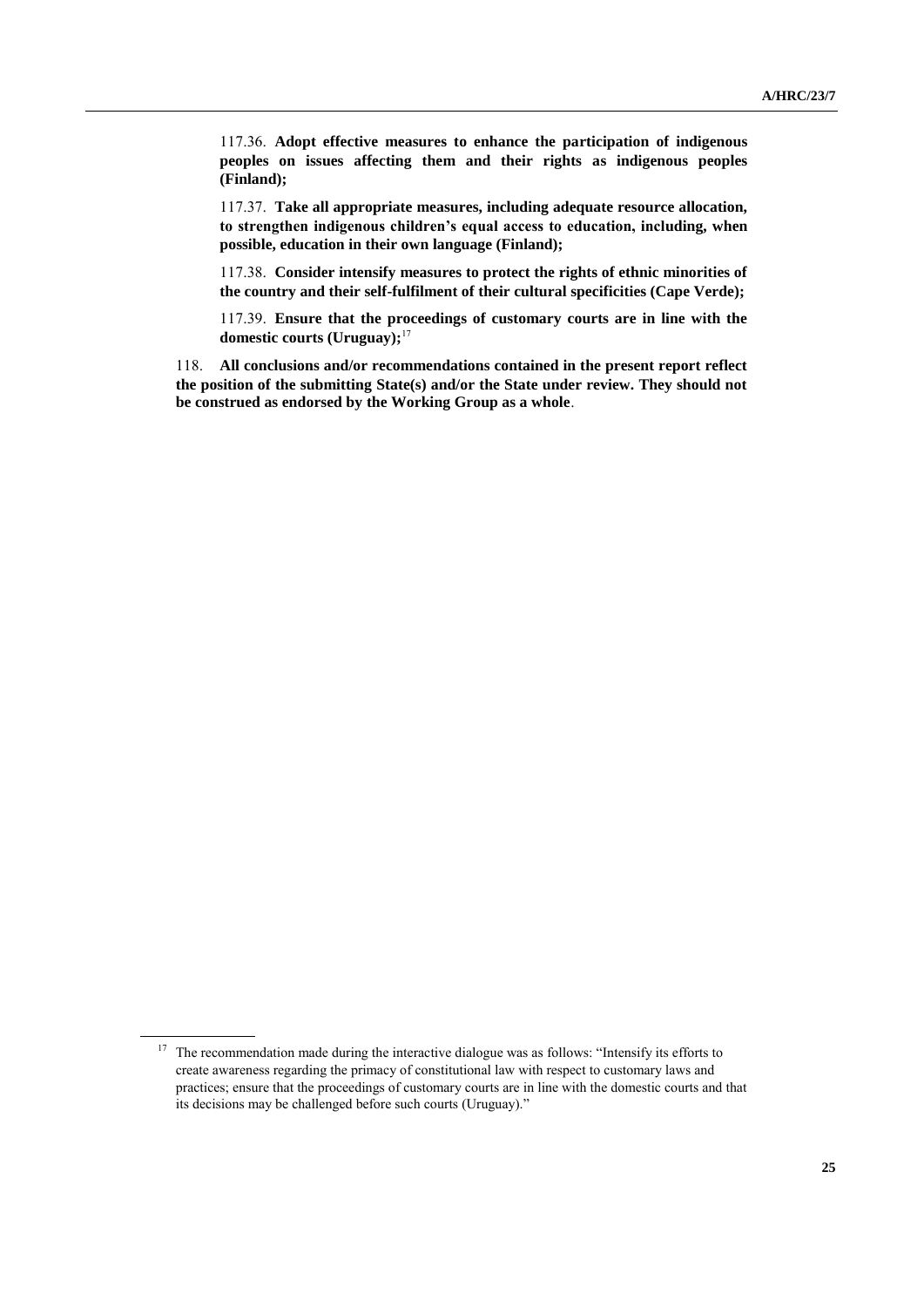117.36. **Adopt effective measures to enhance the participation of indigenous peoples on issues affecting them and their rights as indigenous peoples (Finland);**

117.37. **Take all appropriate measures, including adequate resource allocation, to strengthen indigenous children's equal access to education, including, when possible, education in their own language (Finland);**

117.38. **Consider intensify measures to protect the rights of ethnic minorities of the country and their self-fulfilment of their cultural specificities (Cape Verde);**

117.39. **Ensure that the proceedings of customary courts are in line with the domestic courts (Uruguay);**<sup>17</sup>

118. **All conclusions and/or recommendations contained in the present report reflect the position of the submitting State(s) and/or the State under review. They should not be construed as endorsed by the Working Group as a whole**.

<sup>&</sup>lt;sup>17</sup> The recommendation made during the interactive dialogue was as follows: "Intensify its efforts to create awareness regarding the primacy of constitutional law with respect to customary laws and practices; ensure that the proceedings of customary courts are in line with the domestic courts and that its decisions may be challenged before such courts (Uruguay)."